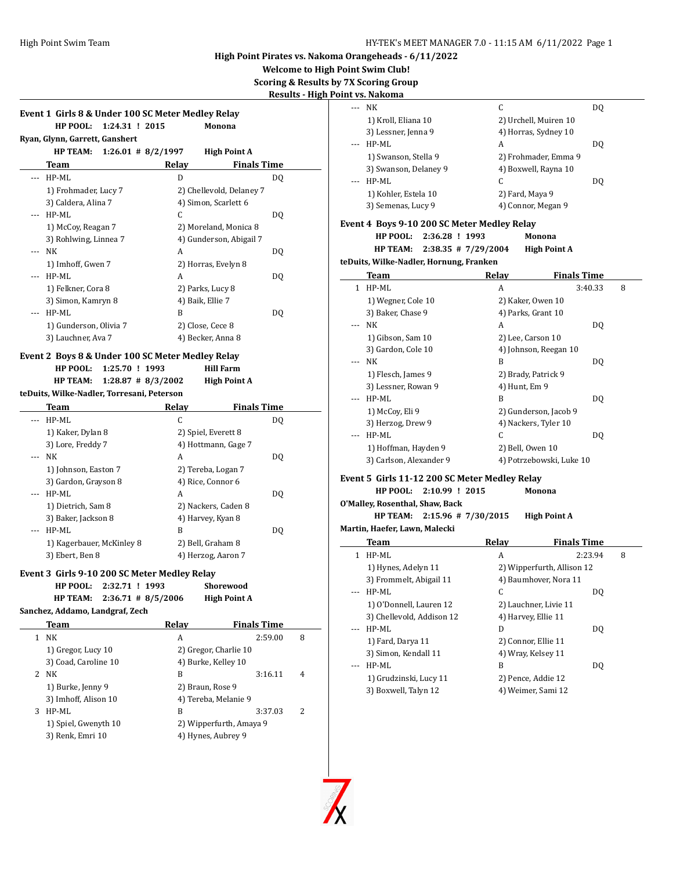**Welcome to High Point Swim Club!**

**Scoring & Results by 7X Scoring Group**

 $\overline{a}$ 

 $\overline{a}$ 

**Results - High Point vs. Nakoma**

| Event 1 Girls 8 & Under 100 SC Meter Medley Relay |                                               |     |
|---------------------------------------------------|-----------------------------------------------|-----|
| HP POOL:<br>1:24.31 ! 2015                        | Monona                                        |     |
| Ryan, Glynn, Garrett, Ganshert                    |                                               |     |
| <b>HP TEAM:</b>                                   | $1:26.01$ # 8/2/1997<br><b>High Point A</b>   |     |
| Team                                              | Relay<br><b>Finals Time</b>                   |     |
| HP-ML<br>$---$                                    | D                                             | DO. |
| 1) Frohmader, Lucy 7                              | 2) Chellevold, Delaney 7                      |     |
| 3) Caldera, Alina 7                               | 4) Simon, Scarlett 6                          |     |
| HP-ML                                             | C                                             | DO. |
| 1) McCoy, Reagan 7                                | 2) Moreland, Monica 8                         |     |
| 3) Rohlwing, Linnea 7                             | 4) Gunderson, Abigail 7                       |     |
| NK<br>$\cdots$                                    | A                                             | DO. |
| 1) Imhoff, Gwen 7                                 | 2) Horras, Evelyn 8                           |     |
| HP-ML                                             | A                                             | DO. |
| 1) Felkner, Cora 8                                | 2) Parks, Lucy 8                              |     |
| 3) Simon, Kamryn 8                                | 4) Baik, Ellie 7                              |     |
| HP-ML                                             | R                                             | DO. |
| 1) Gunderson, Olivia 7                            | 2) Close, Cece 8                              |     |
| 3) Lauchner, Ava 7                                | 4) Becker, Anna 8                             |     |
| Event 2 Boys 8 & Under 100 SC Meter Medley Relay  |                                               |     |
| HP POOL:<br>1:25.70 ! 1993                        | <b>Hill Farm</b>                              |     |
| <b>HP TEAM:</b>                                   | $1:28.87$ # $8/3/2002$<br><b>High Point A</b> |     |
| teDuits, Wilke-Nadler, Torresani, Peterson        |                                               |     |
| <b>Team</b>                                       | Relav<br><b>Finals Time</b>                   |     |

|                           | .<br>.              |     |
|---------------------------|---------------------|-----|
| HP-ML                     | C                   | DO. |
| 1) Kaker, Dylan 8         | 2) Spiel, Everett 8 |     |
| 3) Lore, Freddy 7         | 4) Hottmann, Gage 7 |     |
| NΚ                        | A                   | DO. |
| 1) Johnson, Easton 7      | 2) Tereba, Logan 7  |     |
| 3) Gardon, Grayson 8      | 4) Rice, Connor 6   |     |
| HP-ML                     | A                   | DO. |
| 1) Dietrich, Sam 8        | 2) Nackers, Caden 8 |     |
| 3) Baker, Jackson 8       | 4) Harvey, Kyan 8   |     |
| HP-ML                     | B                   | DO. |
| 1) Kagerbauer, McKinley 8 | 2) Bell, Graham 8   |     |
| 3) Ebert, Ben 8           | 4) Herzog, Aaron 7  |     |

## **Event 3 Girls 9-10 200 SC Meter Medley Relay**

|   | HP POOL: 2:32.71 ! 1993<br><b>HP TEAM:</b> | $2:36.71 \# 8/5/2006$ | Shorewood<br><b>High Point A</b> |                          |
|---|--------------------------------------------|-----------------------|----------------------------------|--------------------------|
|   | Sanchez, Addamo, Landgraf, Zech            |                       |                                  |                          |
|   | Team                                       | Relav                 | <b>Finals Time</b>               |                          |
| 1 | NΚ                                         | A                     | 2:59.00                          | 8                        |
|   | 1) Gregor, Lucy 10                         |                       | 2) Gregor, Charlie 10            |                          |
|   | 3) Coad, Caroline 10                       |                       | 4) Burke, Kelley 10              |                          |
| 2 | NΚ                                         | B                     | 3:16.11                          | 4                        |
|   | 1) Burke, Jenny 9                          |                       | 2) Braun, Rose 9                 |                          |
|   | 3) Imhoff, Alison 10                       |                       | 4) Tereba, Melanie 9             |                          |
| 3 | HP-ML                                      | B                     | 3:37.03                          | $\overline{\mathcal{L}}$ |
|   | 1) Spiel, Gwenyth 10                       |                       | 2) Wipperfurth, Amaya 9          |                          |
|   | 3) Renk, Emri 10                           |                       | 4) Hynes, Aubrey 9               |                          |
|   |                                            |                       |                                  |                          |

|     | <u>və. Ivanoma</u>                             |                       |                            |   |
|-----|------------------------------------------------|-----------------------|----------------------------|---|
| --- | NK                                             | C                     | DQ                         |   |
|     | 1) Kroll, Eliana 10                            | 2) Urchell, Muiren 10 |                            |   |
|     | 3) Lessner, Jenna 9                            | 4) Horras, Sydney 10  |                            |   |
| --- | HP-ML                                          | A                     | DQ                         |   |
|     | 1) Swanson, Stella 9                           | 2) Frohmader, Emma 9  |                            |   |
|     | 3) Swanson, Delaney 9                          | 4) Boxwell, Rayna 10  |                            |   |
|     | HP-ML                                          | C                     | DQ                         |   |
|     | 1) Kohler, Estela 10                           | 2) Fard, Maya 9       |                            |   |
|     | 3) Semenas, Lucy 9                             | 4) Connor, Megan 9    |                            |   |
|     |                                                |                       |                            |   |
|     | Event 4 Boys 9-10 200 SC Meter Medley Relay    |                       |                            |   |
|     | HP POOL:<br>2:36.28 ! 1993                     |                       | Monona                     |   |
|     | <b>HP TEAM:</b><br>$2:38.35$ # 7/29/2004       |                       | <b>High Point A</b>        |   |
|     | teDuits, Wilke-Nadler, Hornung, Franken        |                       |                            |   |
|     | <u>Team</u>                                    | Relay                 | <b>Finals Time</b>         |   |
| 1   | HP-ML                                          | A                     | 3:40.33                    | 8 |
|     | 1) Wegner, Cole 10                             | 2) Kaker, Owen 10     |                            |   |
|     | 3) Baker, Chase 9                              | 4) Parks, Grant 10    |                            |   |
| --- | NK                                             | A                     | DQ                         |   |
|     | 1) Gibson, Sam 10                              | 2) Lee, Carson 10     |                            |   |
|     | 3) Gardon, Cole 10                             | 4) Johnson, Reegan 10 |                            |   |
|     | NK                                             | B                     | DQ                         |   |
|     | 1) Flesch, James 9                             | 2) Brady, Patrick 9   |                            |   |
|     | 3) Lessner, Rowan 9                            | 4) Hunt, Em 9         |                            |   |
|     | HP-ML                                          | B                     | DQ                         |   |
|     | 1) McCoy, Eli 9                                | 2) Gunderson, Jacob 9 |                            |   |
|     | 3) Herzog, Drew 9                              | 4) Nackers, Tyler 10  |                            |   |
|     | HP-ML                                          | C                     | DQ                         |   |
|     | 1) Hoffman, Hayden 9                           | 2) Bell, Owen 10      |                            |   |
|     | 3) Carlson, Alexander 9                        |                       | 4) Potrzebowski, Luke 10   |   |
|     |                                                |                       |                            |   |
|     | Event 5  Girls 11-12 200 SC Meter Medley Relay |                       |                            |   |
|     | <b>HP POOL:</b><br>2:10.99 ! 2015              |                       | Monona                     |   |
|     | O'Malley, Rosenthal, Shaw, Back                |                       |                            |   |
|     | <b>HP TEAM:</b><br>$2:15.96$ # 7/30/2015       |                       | <b>High Point A</b>        |   |
|     | Martin, Haefer, Lawn, Malecki                  |                       |                            |   |
|     | <b>Team</b>                                    | <b>Relay</b>          | <b>Finals Time</b>         |   |
| 1   | HP-ML                                          | A                     | 2:23.94                    | 8 |
|     | 1) Hynes, Adelyn 11                            |                       | 2) Wipperfurth, Allison 12 |   |
|     | 3) Frommelt, Abigail 11                        | 4) Baumhover, Nora 11 |                            |   |
| --- | HP-ML                                          | C                     | DQ                         |   |
|     | 1) O'Donnell, Lauren 12                        | 2) Lauchner, Livie 11 |                            |   |
|     | 3) Chellevold, Addison 12                      | 4) Harvey, Ellie 11   |                            |   |
| --- | HP-ML                                          | D                     | DQ                         |   |
|     | 1) Fard, Darya 11                              | 2) Connor, Ellie 11   |                            |   |
|     | 3) Simon, Kendall 11                           | 4) Wray, Kelsey 11    |                            |   |
| --- | HP-ML                                          |                       |                            |   |
|     |                                                | B                     |                            |   |
|     | 1) Grudzinski, Lucy 11                         | 2) Pence, Addie 12    | DQ                         |   |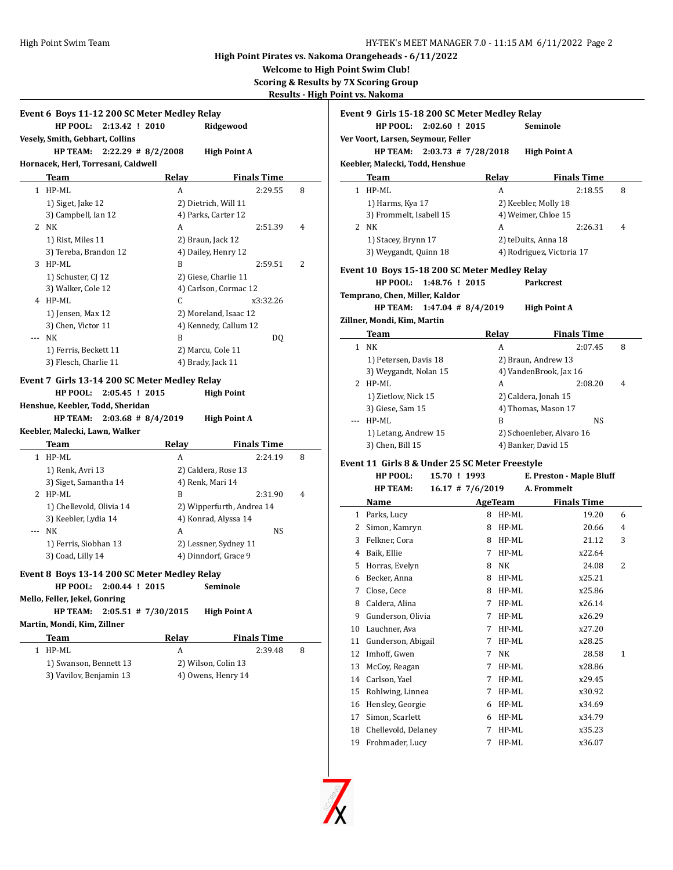**Welcome to High Point Swim Club!**

**Scoring & Results by 7X Scoring Group Results - High Point vs. Nakoma**

|              | Event 6 Boys 11-12 200 SC Meter Medley Relay                                                                                             |                   |                           |   |
|--------------|------------------------------------------------------------------------------------------------------------------------------------------|-------------------|---------------------------|---|
|              | HP POOL:<br>2:13.42 ! 2010                                                                                                               |                   | Ridgewood                 |   |
|              | Vesely, Smith, Gebhart, Collins                                                                                                          |                   |                           |   |
|              | <b>HP TEAM:</b><br>$2:22.29$ # 8/2/2008                                                                                                  |                   | <b>High Point A</b>       |   |
|              | Hornacek, Herl, Torresani, Caldwell                                                                                                      |                   |                           |   |
|              | Team                                                                                                                                     | <b>Relay</b>      | <b>Finals Time</b>        |   |
| $\mathbf{1}$ | HP-ML                                                                                                                                    | A                 | 2:29.55                   | 8 |
|              | 1) Siget, Jake 12                                                                                                                        |                   | 2) Dietrich, Will 11      |   |
|              | 3) Campbell, Ian 12                                                                                                                      |                   | 4) Parks, Carter 12       |   |
|              | 2 NK                                                                                                                                     | A                 | 2:51.39                   | 4 |
|              | 1) Rist, Miles 11                                                                                                                        | 2) Braun, Jack 12 |                           |   |
|              | 3) Tereba, Brandon 12                                                                                                                    |                   | 4) Dailey, Henry 12       |   |
|              | 3 HP-ML                                                                                                                                  | B                 | 2:59.51                   | 2 |
|              | 1) Schuster, CJ 12                                                                                                                       |                   | 2) Giese, Charlie 11      |   |
|              | 3) Walker, Cole 12                                                                                                                       |                   | 4) Carlson, Cormac 12     |   |
|              | 4 HP-ML                                                                                                                                  | C                 | x3:32.26                  |   |
|              | 1) Jensen, Max 12                                                                                                                        |                   | 2) Moreland, Isaac 12     |   |
|              | 3) Chen, Victor 11                                                                                                                       |                   | 4) Kennedy, Callum 12     |   |
|              | <b>NK</b>                                                                                                                                | B                 | DQ                        |   |
|              | 1) Ferris, Beckett 11                                                                                                                    | 2) Marcu, Cole 11 |                           |   |
|              |                                                                                                                                          |                   | 4) Brady, Jack 11         |   |
|              | 3) Flesch, Charlie 11<br>Event 7 Girls 13-14 200 SC Meter Medley Relay<br>HP POOL:<br>2:05.45 ! 2015<br>Henshue, Keebler, Todd, Sheridan |                   | <b>High Point</b>         |   |
|              | $2:03.68$ # 8/4/2019<br>HP TEAM:<br>Keebler, Malecki, Lawn, Walker                                                                       |                   | <b>High Point A</b>       |   |
|              | Team                                                                                                                                     | Relay             | <b>Finals Time</b>        |   |
| $\mathbf{1}$ | HP-ML                                                                                                                                    | A                 | 2:24.19                   | 8 |
|              | 1) Renk, Avri 13                                                                                                                         |                   | 2) Caldera, Rose 13       |   |
|              | 3) Siget, Samantha 14                                                                                                                    | 4) Renk, Mari 14  |                           |   |
|              | 2 HP-ML                                                                                                                                  | B                 | 2:31.90                   | 4 |
|              | 1) Chellevold, Olivia 14                                                                                                                 |                   | 2) Wipperfurth, Andrea 14 |   |
|              | 3) Keebler, Lydia 14                                                                                                                     |                   | 4) Konrad, Alyssa 14      |   |
| ---          | NK                                                                                                                                       | A                 | NS                        |   |
|              | 1) Ferris, Siobhan 13                                                                                                                    |                   | 2) Lessner, Sydney 11     |   |
|              | 3) Coad, Lilly 14                                                                                                                        |                   | 4) Dinndorf, Grace 9      |   |
|              | Event 8 Boys 13-14 200 SC Meter Medley Relay                                                                                             |                   |                           |   |
|              | 2:00.44 ! 2015<br>HP POOL:                                                                                                               |                   | Seminole                  |   |
|              | Mello, Feller, Jekel, Gonring                                                                                                            |                   |                           |   |
|              | HP TEAM: 2:05.51 # 7/30/2015                                                                                                             |                   | <b>High Point A</b>       |   |
|              | Martin, Mondi, Kim, Zillner                                                                                                              |                   |                           |   |
|              | <b>Team</b>                                                                                                                              | <b>Relay</b>      | <b>Finals Time</b>        |   |
| 1            | HP-ML                                                                                                                                    | А                 | 2:39.48                   | 8 |
|              | 1) Swanson, Bennett 13                                                                                                                   |                   | 2) Wilson, Colin 13       |   |

|    | Event 9 Girls 15-18 200 SC Meter Medley Relay  |              |                    |            |                                                  |                               |   |
|----|------------------------------------------------|--------------|--------------------|------------|--------------------------------------------------|-------------------------------|---|
|    | HP POOL: 2:02.60 ! 2015                        |              |                    |            | Seminole                                         |                               |   |
|    | Ver Voort, Larsen, Seymour, Feller             |              |                    |            |                                                  |                               |   |
|    | HP TEAM: $2:03.73 \# 7/28/2018$                |              |                    |            | <b>High Point A</b>                              |                               |   |
|    | Keebler, Malecki, Todd, Henshue                |              |                    |            |                                                  |                               |   |
|    | Team                                           |              |                    | Relay      |                                                  | <b>Finals Time</b>            |   |
|    | 1 HP-ML                                        |              |                    | A          |                                                  | 2:18.55                       | 8 |
|    | 1) Harms, Kya 17                               |              |                    |            | 2) Keebler, Molly 18                             |                               |   |
|    | 3) Frommelt, Isabell 15                        |              |                    |            | 4) Weimer, Chloe 15                              |                               |   |
|    | 2 NK                                           |              |                    | A          |                                                  | 2:26.31                       | 4 |
|    | 1) Stacey, Brynn 17                            |              |                    |            | 2) teDuits, Anna 18                              |                               |   |
|    | 3) Weygandt, Quinn 18                          |              |                    |            | 4) Rodriguez, Victoria 17                        |                               |   |
|    | Event 10 Boys 15-18 200 SC Meter Medley Relay  |              |                    |            |                                                  |                               |   |
|    | HP POOL: 1:48.76 ! 2015                        |              |                    |            | <b>Parkcrest</b>                                 |                               |   |
|    | Temprano, Chen, Miller, Kaldor                 |              |                    |            |                                                  |                               |   |
|    | HP TEAM: 1:47.04 # 8/4/2019                    |              |                    |            | <b>High Point A</b>                              |                               |   |
|    | Zillner, Mondi, Kim, Martin                    |              |                    |            |                                                  |                               |   |
|    |                                                |              |                    |            |                                                  |                               |   |
|    | Team<br>1 NK                                   |              |                    | Relay<br>A |                                                  | <b>Finals Time</b><br>2:07.45 | 8 |
|    |                                                |              |                    |            |                                                  |                               |   |
|    | 1) Petersen, Davis 18                          |              |                    |            | 2) Braun, Andrew 13<br>4) VandenBrook, Jax 16    |                               |   |
|    | 3) Weygandt, Nolan 15                          |              |                    |            |                                                  |                               |   |
|    | 2 HP-ML                                        |              |                    | A          |                                                  | 2:08.20                       | 4 |
|    | 1) Zietlow, Nick 15                            |              |                    |            | 2) Caldera, Jonah 15<br>4) Thomas, Mason 17      |                               |   |
|    | 3) Giese, Sam 15<br>--- HP-ML                  |              |                    | B          |                                                  | <b>NS</b>                     |   |
|    |                                                |              |                    |            |                                                  |                               |   |
|    | 1) Letang, Andrew 15<br>3) Chen, Bill 15       |              |                    |            | 2) Schoenleber, Alvaro 16<br>4) Banker, David 15 |                               |   |
|    |                                                |              |                    |            |                                                  |                               |   |
|    | Event 11 Girls 8 & Under 25 SC Meter Freestyle |              |                    |            |                                                  |                               |   |
|    | HP POOL:                                       | 15.70 ! 1993 |                    |            | E. Preston - Maple Bluff                         |                               |   |
|    | <b>HP TEAM:</b>                                |              | $16.17$ # 7/6/2019 |            | A. Frommelt                                      |                               |   |
|    | Name                                           |              |                    | AgeTeam    |                                                  | <b>Finals Time</b>            |   |
|    | 1 Parks, Lucy                                  |              |                    | 8 HP-ML    |                                                  | 19.20                         | 6 |
|    | 2 Simon, Kamryn                                |              |                    | 8 HP-ML    |                                                  | 20.66                         | 4 |
|    | 3 Felkner, Cora                                |              |                    | 8 HP-ML    |                                                  | 21.12                         | 3 |
|    | 4 Baik, Ellie                                  |              |                    | 7 HP-ML    |                                                  | x22.64                        |   |
|    | 5 Horras, Evelyn                               |              |                    | 8 NK       |                                                  | 24.08                         | 2 |
|    | 6 Becker, Anna                                 |              |                    | 8 HP-ML    |                                                  | x25.21                        |   |
| 7  | Close, Cece                                    |              |                    | 8 HP-ML    |                                                  | x25.86                        |   |
| 8  | Caldera, Alina                                 |              | 7                  | HP-ML      |                                                  | x26.14                        |   |
| 9  | Gunderson, Olivia                              |              | 7                  | HP-ML      |                                                  | x26.29                        |   |
| 10 | Lauchner, Ava                                  |              | 7                  | HP-ML      |                                                  | x27.20                        |   |
| 11 | Gunderson, Abigail                             |              | 7                  | HP-ML      |                                                  | x28.25                        |   |
| 12 | Imhoff, Gwen                                   |              | 7                  | NΚ         |                                                  | 28.58                         | 1 |
| 13 | McCoy, Reagan                                  |              | 7                  | HP-ML      |                                                  | x28.86                        |   |
| 14 | Carlson, Yael                                  |              | 7                  | HP-ML      |                                                  | x29.45                        |   |
| 15 | Rohlwing, Linnea                               |              | 7                  | HP-ML      |                                                  | x30.92                        |   |
| 16 | Hensley, Georgie                               |              | 6                  | HP-ML      |                                                  | x34.69                        |   |
| 17 | Simon, Scarlett                                |              | 6                  | HP-ML      |                                                  | x34.79                        |   |
| 18 | Chellevold, Delaney                            |              | 7                  | HP-ML      |                                                  | x35.23                        |   |
| 19 | Frohmader, Lucy                                |              | 7                  | HP-ML      |                                                  | x36.07                        |   |

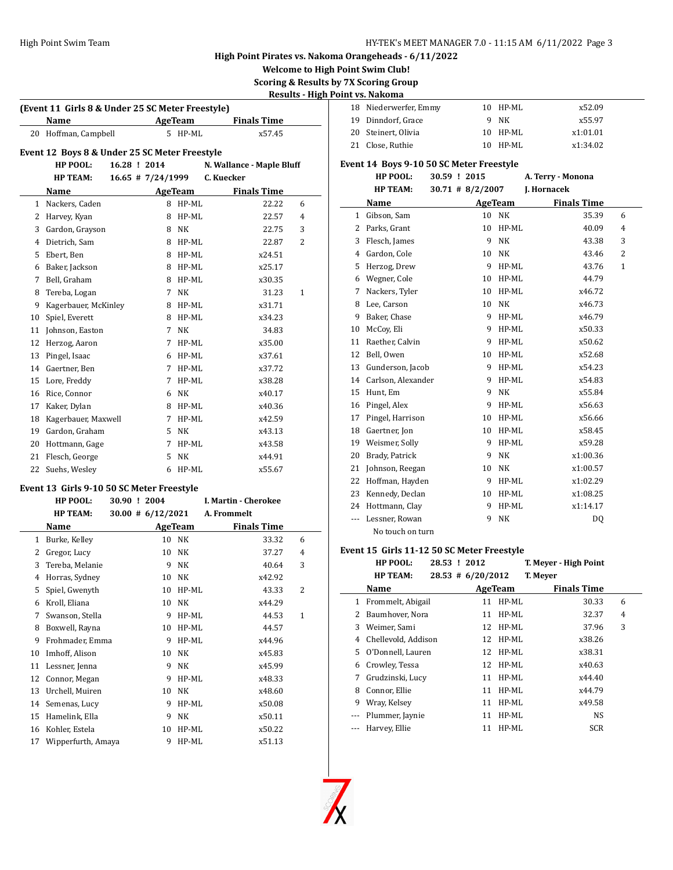**Welcome to High Point Swim Club!**

**Scoring & Results by 7X Scoring Group**

# **Results - High Point vs. Nakoma**

 $\overline{\phantom{a}}$ 

|                | (Event 11 Girls 8 & Under 25 SC Meter Freestyle) |              |                      |                |                           |                |
|----------------|--------------------------------------------------|--------------|----------------------|----------------|---------------------------|----------------|
|                | Name                                             |              |                      | AgeTeam        | <b>Finals Time</b>        |                |
| 20             | Hoffman, Campbell                                |              | 5                    | HP-ML          | x57.45                    |                |
|                | Event 12 Boys 8 & Under 25 SC Meter Freestyle    |              |                      |                |                           |                |
|                | HP POOL:                                         | 16.28 ! 2014 |                      |                | N. Wallance - Maple Bluff |                |
|                | <b>HP TEAM:</b>                                  |              | $16.65$ # 7/24/1999  |                | C. Kuecker                |                |
|                | Name                                             |              |                      | <b>AgeTeam</b> | <b>Finals Time</b>        |                |
| 1              | Nackers, Caden                                   |              | 8                    | HP-ML          | 22.22                     | 6              |
|                | 2 Harvey, Kyan                                   |              | 8                    | HP-ML          | 22.57                     | $\overline{4}$ |
| 3              | Gardon, Grayson                                  |              | 8                    | NK             | 22.75                     | 3              |
| $\overline{4}$ | Dietrich, Sam                                    |              | 8                    | HP-ML          | 22.87                     | 2              |
| 5              | Ebert, Ben                                       |              | 8                    | HP-ML          | x24.51                    |                |
| 6              | Baker, Jackson                                   |              | 8                    | HP-ML          | x25.17                    |                |
| 7              | Bell, Graham                                     |              | 8                    | HP-ML          | x30.35                    |                |
| 8              | Tereba, Logan                                    |              | 7                    | <b>NK</b>      | 31.23                     | 1              |
| 9              | Kagerbauer, McKinley                             |              | 8                    | HP-ML          | x31.71                    |                |
| 10             | Spiel, Everett                                   |              | 8                    | HP-ML          | x34.23                    |                |
| 11             | Johnson, Easton                                  |              | 7                    | NK             | 34.83                     |                |
| 12             | Herzog, Aaron                                    |              | 7                    | HP-ML          | x35.00                    |                |
| 13             | Pingel, Isaac                                    |              | 6                    | HP-ML          | x37.61                    |                |
| 14             | Gaertner, Ben                                    |              | 7                    | HP-ML          | x37.72                    |                |
| 15             | Lore, Freddy                                     |              | $\overline{7}$       | HP-ML          | x38.28                    |                |
| 16             | Rice, Connor                                     |              | 6                    | NK             | x40.17                    |                |
| 17             | Kaker, Dylan                                     |              | 8                    | $HP-ML$        | x40.36                    |                |
| 18             | Kagerbauer, Maxwell                              |              |                      | 7 HP-ML        | x42.59                    |                |
| 19             | Gardon, Graham                                   |              | 5                    | NK             | x43.13                    |                |
|                | 20 Hottmann, Gage                                |              | $\overline{7}$       | HP-ML          | x43.58                    |                |
| 21             | Flesch, George                                   |              | 5                    | <b>NK</b>      | x44.91                    |                |
| 22             | Suehs, Wesley                                    |              | 6                    | HP-ML          | x55.67                    |                |
|                | Event 13 Girls 9-10 50 SC Meter Freestyle        |              |                      |                |                           |                |
|                | HP POOL:                                         | 30.90 ! 2004 |                      |                | I. Martin - Cherokee      |                |
|                | <b>HP TEAM:</b>                                  |              | $30.00 \# 6/12/2021$ |                | A. Frommelt               |                |
|                | Name                                             |              | AgeTeam              |                | <b>Finals Time</b>        |                |
|                | 1 Burke, Kelley                                  |              | 10                   | NK             | 33.32                     | 6              |
| $\overline{2}$ | Gregor, Lucy                                     |              | 10                   | <b>NK</b>      | 37.27                     | 4              |
| 3              | Tereba, Melanie                                  |              | 9                    | NK             | 40.64                     | 3              |
| $\overline{4}$ | Horras, Sydney                                   |              | 10                   | NK             | x42.92                    |                |
| 5              | Spiel, Gwenyth                                   |              |                      | 10 HP-ML       | 43.33                     | 2              |
|                | 6 Kroll, Eliana                                  |              | 10                   | NK             | x44.29                    |                |
| 7              | Swanson, Stella                                  |              | 9                    | HP-ML          | 44.53                     | 1              |
| 8              | Boxwell, Rayna                                   |              | 10                   | HP-ML          | 44.57                     |                |
| 9              | Frohmader, Emma                                  |              | 9                    | HP-ML          | x44.96                    |                |
| 10             | Imhoff, Alison                                   |              | 10                   | NK             | x45.83                    |                |
| 11             | Lessner, Jenna                                   |              | 9                    | NK             | x45.99                    |                |

12 Connor, Megan 9 HP-ML x48.33 Urchell, Muiren 10 NK x48.60 14 Semenas, Lucy 9 HP-ML x50.08 Hamelink, Ella 9 NK x50.11 Kohler, Estela 10 HP-ML x50.22 17 Wipperfurth, Amaya 9 HP-ML x51.13

| .                     |            |          |
|-----------------------|------------|----------|
| 18 Niederwerfer, Emmy | $10$ HP-ML | x52.09   |
| 19 Dinndorf, Grace    | 9 NK       | x55.97   |
| 20 Steinert, Olivia   | 10 HP-ML   | x1:01.01 |
| 21 Close, Ruthie      | 10 HP-ML   | x1:34.02 |
|                       |            |          |

## **Event 14 Boys 9-10 50 SC Meter Freestyle**

| <b>HP POOL:</b> | 30.59 ! 2015        | A. Terry - Monona  |
|-----------------|---------------------|--------------------|
| <b>HP TEAM:</b> | $30.71 \# 8/2/2007$ | <b>I. Hornacek</b> |

|              | Name               |    | AgeTeam   | <b>Finals Time</b> |              |  |
|--------------|--------------------|----|-----------|--------------------|--------------|--|
| $\mathbf{1}$ | Gibson, Sam        | 10 | NΚ        | 35.39              | 6            |  |
| 2            | Parks, Grant       | 10 | HP-ML     | 40.09              | 4            |  |
| 3            | Flesch, James      | 9  | <b>NK</b> | 43.38              | 3            |  |
| 4            | Gardon, Cole       | 10 | <b>NK</b> | 43.46              | 2            |  |
| 5            | Herzog, Drew       | 9  | HP-ML     | 43.76              | $\mathbf{1}$ |  |
| 6            | Wegner, Cole       | 10 | $HP-ML$   | 44.79              |              |  |
| 7            | Nackers, Tyler     | 10 | HP-ML     | x46.72             |              |  |
| 8            | Lee, Carson        | 10 | <b>NK</b> | x46.73             |              |  |
| 9            | Baker, Chase       | 9  | HP-ML     | x46.79             |              |  |
| 10           | McCoy, Eli         | 9  | HP-ML     | x50.33             |              |  |
| 11           | Raether, Calvin    | 9  | HP-ML     | x50.62             |              |  |
| 12           | Bell, Owen         | 10 | HP-ML     | x52.68             |              |  |
| 13           | Gunderson, Jacob   | 9  | HP-ML     | x54.23             |              |  |
| 14           | Carlson, Alexander | 9  | $HP-ML$   | x54.83             |              |  |
| 15           | Hunt, Em           | 9  | <b>NK</b> | x55.84             |              |  |
| 16           | Pingel, Alex       | 9  | $HP-ML$   | x56.63             |              |  |
| 17           | Pingel, Harrison   | 10 | HP-ML     | x56.66             |              |  |
| 18           | Gaertner, Jon      | 10 | $HP-ML$   | x58.45             |              |  |
| 19           | Weismer, Solly     | 9  | HP-ML     | x59.28             |              |  |
| 20           | Brady, Patrick     | 9  | <b>NK</b> | x1:00.36           |              |  |
| 21           | Johnson, Reegan    | 10 | NK        | x1:00.57           |              |  |
| 22           | Hoffman, Hayden    | 9  | HP-ML     | x1:02.29           |              |  |
| 23           | Kennedy, Declan    | 10 | $HP-ML$   | x1:08.25           |              |  |
| 24           | Hottmann, Clay     | 9  | HP-ML     | x1:14.17           |              |  |
| ---          | Lessner, Rowan     | 9  | NK        | DQ                 |              |  |
|              | No touch on turn   |    |           |                    |              |  |

### **Event 15 Girls 11-12 50 SC Meter Freestyle**

|   | HP POOL:            | 28.53 ! 2012 |                       |          | T. Meyer - High Point |   |
|---|---------------------|--------------|-----------------------|----------|-----------------------|---|
|   | <b>HP TEAM:</b>     |              | $28.53 \pm 6/20/2012$ |          | T. Meyer              |   |
|   | Name                |              | AgeTeam               |          | <b>Finals Time</b>    |   |
| 1 | Frommelt, Abigail   |              | 11                    | HP-ML    | 30.33                 | 6 |
| 2 | Baumhover, Nora     |              | 11                    | HP-ML    | 32.37                 | 4 |
| 3 | Weimer, Sami        |              |                       | 12 HP-ML | 37.96                 | 3 |
| 4 | Chellevold, Addison |              | 12                    | $HP-ML$  | x38.26                |   |
| 5 | O'Donnell, Lauren   |              | 12                    | HP-ML    | x38.31                |   |
| 6 | Crowley, Tessa      |              |                       | 12 HP-ML | x40.63                |   |
| 7 | Grudzinski, Lucy    |              | 11                    | HP-ML    | x44.40                |   |
| 8 | Connor, Ellie       |              | 11                    | HP-ML    | x44.79                |   |
| 9 | Wray, Kelsey        |              | 11                    | $HP-ML$  | x49.58                |   |
|   | Plummer, Jaynie     |              | 11                    | HP-ML    | <b>NS</b>             |   |
|   | Harvey, Ellie       |              | 11                    | HP-ML    | <b>SCR</b>            |   |

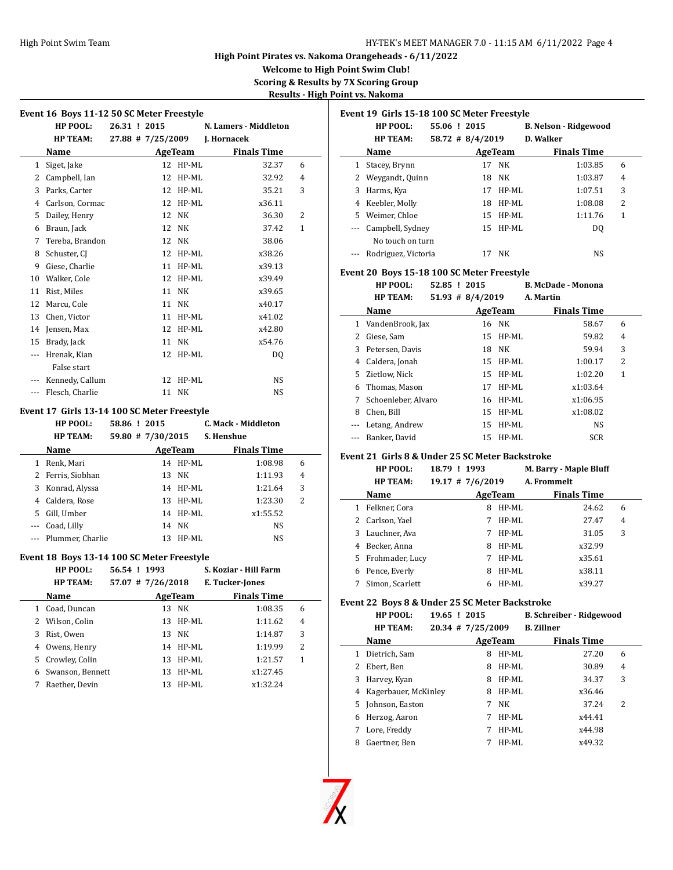#### High Point Swim Team **HY-TEK's MEET MANAGER 7.0 - 11:15 AM 6/11/2022** Page 4

**High Point Pirates vs. Nakoma Orangeheads - 6/11/2022**

**Welcome to High Point Swim Club! Scoring & Results by 7X Scoring Group**

**Results - High Point vs. Nakoma**

| Event 16 Boys 11-12 50 SC Meter Freestyle |                 |              |  |                     |           |                       |                |  |
|-------------------------------------------|-----------------|--------------|--|---------------------|-----------|-----------------------|----------------|--|
|                                           | HP POOL:        | 26.31 ! 2015 |  |                     |           | N. Lamers - Middleton |                |  |
|                                           | <b>HP TEAM:</b> |              |  | $27.88$ # 7/25/2009 |           | J. Hornacek           |                |  |
|                                           | Name            |              |  |                     | AgeTeam   | <b>Finals Time</b>    |                |  |
| $\mathbf{1}$                              | Siget, Jake     |              |  | 12                  | HP-ML     | 32.37                 | 6              |  |
| 2                                         | Campbell, Ian   |              |  | 12                  | HP-ML     | 32.92                 | 4              |  |
| 3                                         | Parks, Carter   |              |  | 12                  | HP-ML     | 35.21                 | 3              |  |
| 4                                         | Carlson, Cormac |              |  | 12                  | HP-ML     | x36.11                |                |  |
| 5                                         | Dailey, Henry   |              |  | 12                  | <b>NK</b> | 36.30                 | $\overline{2}$ |  |
| 6                                         | Braun, Jack     |              |  | 12                  | NΚ        | 37.42                 | 1              |  |
| 7                                         | Tereba, Brandon |              |  | 12                  | NΚ        | 38.06                 |                |  |
| 8                                         | Schuster, CJ    |              |  | 12                  | HP-ML     | x38.26                |                |  |
| 9                                         | Giese, Charlie  |              |  | 11                  | HP-ML     | x39.13                |                |  |
| 10                                        | Walker, Cole    |              |  | 12                  | HP-ML     | x39.49                |                |  |
| 11                                        | Rist, Miles     |              |  | 11                  | <b>NK</b> | x39.65                |                |  |
| 12                                        | Marcu, Cole     |              |  | 11                  | NK        | x40.17                |                |  |
| 13                                        | Chen, Victor    |              |  | 11                  | HP-ML     | x41.02                |                |  |
| 14                                        | Jensen, Max     |              |  | 12                  | HP-ML     | x42.80                |                |  |
| 15                                        | Brady, Jack     |              |  | 11                  | NK        | x54.76                |                |  |
| ---                                       | Hrenak, Kian    |              |  | 12                  | HP-ML     | DO.                   |                |  |
|                                           | False start     |              |  |                     |           |                       |                |  |
| $---$                                     | Kennedy, Callum |              |  | 12                  | HP-ML     | <b>NS</b>             |                |  |
|                                           | Flesch, Charlie |              |  | 11                  | NK        | <b>NS</b>             |                |  |
|                                           |                 |              |  |                     |           |                       |                |  |

## **Event 17 Girls 13-14 100 SC Meter Freestyle**

|     | HP POOL:             | 58.86 ! 2015 |                   |          | C. Mack - Middleton |   |
|-----|----------------------|--------------|-------------------|----------|---------------------|---|
|     | <b>HP TEAM:</b>      |              | 59.80 # 7/30/2015 |          | S. Henshue          |   |
|     | <b>Name</b>          |              |                   | AgeTeam  | <b>Finals Time</b>  |   |
|     | Renk, Mari           |              |                   | 14 HP-ML | 1:08.98             | 6 |
|     | 2 Ferris, Siobhan    |              |                   | 13 NK    | 1:11.93             | 4 |
| 3   | Konrad, Alyssa       |              |                   | 14 HP-ML | 1:21.64             | 3 |
| 4   | Caldera, Rose        |              |                   | 13 HP-ML | 1:23.30             | 2 |
| 5.  | Gill, Umber          |              |                   | 14 HP-ML | x1:55.52            |   |
| --- | Coad, Lilly          |              |                   | 14 NK    | <b>NS</b>           |   |
|     | --- Plummer, Charlie |              |                   | 13 HP-ML | <b>NS</b>           |   |

### **Event 18 Boys 13-14 100 SC Meter Freestyle**

|   | HP POOL:<br><b>HP TEAM:</b> | 56.54 ! 1993<br>$57.07$ # 7/26/2018 |         |          | S. Koziar - Hill Farm<br>E. Tucker-Jones |   |
|---|-----------------------------|-------------------------------------|---------|----------|------------------------------------------|---|
|   | Name                        |                                     | AgeTeam |          | <b>Finals Time</b>                       |   |
|   | 1 Coad, Duncan              |                                     |         | 13 NK    | 1:08.35                                  | 6 |
|   | 2 Wilson, Colin             |                                     |         | 13 HP-ML | 1:11.62                                  | 4 |
| 3 | Rist, Owen                  |                                     |         | 13 NK    | 1:14.87                                  | 3 |
| 4 | Owens, Henry                |                                     |         | 14 HP-ML | 1:19.99                                  | 2 |
|   | 5 Crowley, Colin            |                                     | 13.     | HP-ML    | 1:21.57                                  | 1 |
| 6 | Swanson, Bennett            |                                     |         | 13 HP-ML | x1:27.45                                 |   |
|   | Raether, Devin              |                                     | 13      | HP-ML    | x1:32.24                                 |   |

|     | Event 19  Girls 15-18 100 SC Meter Freestyle |              |                      |         |                              |                |
|-----|----------------------------------------------|--------------|----------------------|---------|------------------------------|----------------|
|     | HP POOL:                                     | 55.06 ! 2015 |                      |         | <b>B. Nelson - Ridgewood</b> |                |
|     | <b>HP TEAM:</b>                              |              | $58.72 \pm 8/4/2019$ |         | D. Walker                    |                |
|     | Name                                         |              |                      | AgeTeam | <b>Finals Time</b>           |                |
| 1   | Stacey, Brynn                                |              | 17                   | NK      | 1:03.85                      | 6              |
|     | Weygandt, Quinn                              |              | 18                   | NK      | 1:03.87                      | $\overline{4}$ |
| 3   | Harms, Kya                                   |              | 17                   | HP-ML   | 1:07.51                      | 3              |
| 4   | Keebler, Molly                               |              | 18                   | HP-ML   | 1:08.08                      | 2              |
| 5.  | Weimer, Chloe                                |              | 15                   | HP-ML   | 1:11.76                      | 1              |
| --- | Campbell, Sydney                             |              | 15                   | $HP-ML$ | DO.                          |                |
|     | No touch on turn                             |              |                      |         |                              |                |
|     | Rodriguez, Victoria                          |              | 17                   | NK      | NS.                          |                |

#### **Event 20 Boys 15-18 100 SC Meter Freestyle**

**HP POOL: 52.85 ! 2015 B. McDade - Monona HP TEAM: 51.93 # 8/4/2019 A. Martin**

|   | Name                | AgeTeam  | <b>Finals Time</b> |   |  |
|---|---------------------|----------|--------------------|---|--|
| 1 | VandenBrook, Jax    | 16 NK    | 58.67              | 6 |  |
| 2 | Giese, Sam          | 15 HP-ML | 59.82              | 4 |  |
| 3 | Petersen, Davis     | 18 NK    | 59.94              | 3 |  |
| 4 | Caldera, Jonah      | 15 HP-ML | 1:00.17            | 2 |  |
|   | 5 Zietlow. Nick     | 15 HP-ML | 1:02.20            | 1 |  |
| 6 | Thomas, Mason       | 17 HP-ML | x1:03.64           |   |  |
| 7 | Schoenleber, Alvaro | 16 HP-ML | x1:06.95           |   |  |
| 8 | Chen. Bill          | 15 HP-ML | x1:08.02           |   |  |
|   | Letang, Andrew      | 15 HP-ML | <b>NS</b>          |   |  |
|   | --- Banker, David   | 15 HP-ML | <b>SCR</b>         |   |  |

### **Event 21 Girls 8 & Under 25 SC Meter Backstroke**

|   | HP POOL:          | 18.79 ! 1993       |   |         | <b>M. Barry - Maple Bluff</b> |                |  |
|---|-------------------|--------------------|---|---------|-------------------------------|----------------|--|
|   | <b>HP TEAM:</b>   | $19.17$ # 7/6/2019 |   |         | A. Frommelt                   |                |  |
|   | Name              |                    |   | AgeTeam | <b>Finals Time</b>            |                |  |
|   | Felkner, Cora     |                    | 8 | $HP-ML$ | 24.62                         | 6              |  |
|   | Carlson, Yael     |                    |   | $HP-ML$ | 27.47                         | $\overline{4}$ |  |
| 3 | Lauchner, Ava     |                    | 7 | $HP-ML$ | 31.05                         | 3              |  |
| 4 | Becker, Anna      |                    | 8 | $HP-ML$ | x32.99                        |                |  |
|   | 5 Frohmader, Lucy |                    |   | $HP-ML$ | x35.61                        |                |  |
| 6 | Pence, Everly     |                    | 8 | $HP-ML$ | x38.11                        |                |  |
|   | Simon, Scarlett   |                    |   | HP-ML   | x39.27                        |                |  |

## **Event 22 Boys 8 & Under 25 SC Meter Backstroke**

|   | ent 22  boys 8 & Under 25 SC Meter Backströke |              |                     |         |                                 |   |  |  |  |
|---|-----------------------------------------------|--------------|---------------------|---------|---------------------------------|---|--|--|--|
|   | HP POOL:                                      | 19.65 ! 2015 |                     |         | <b>B. Schreiber - Ridgewood</b> |   |  |  |  |
|   | <b>HP TEAM:</b>                               |              | $20.34$ # 7/25/2009 |         | <b>B.</b> Zillner               |   |  |  |  |
|   | Name                                          |              |                     | AgeTeam | <b>Finals Time</b>              |   |  |  |  |
| 1 | Dietrich, Sam                                 |              | 8                   | $HP-ML$ | 27.20                           | 6 |  |  |  |
| 2 | Ebert, Ben                                    |              | 8                   | $HP-ML$ | 30.89                           | 4 |  |  |  |
| 3 | Harvey, Kyan                                  |              | 8                   | HP-ML   | 34.37                           | 3 |  |  |  |
| 4 | Kagerbauer, McKinley                          |              | 8                   | $HP-ML$ | x36.46                          |   |  |  |  |
| 5 | Johnson, Easton                               |              | 7                   | NK      | 37.24                           | 2 |  |  |  |
| 6 | Herzog, Aaron                                 |              | 7                   | HP-ML   | x44.41                          |   |  |  |  |
| 7 | Lore, Freddy                                  |              | 7                   | $HP-ML$ | x44.98                          |   |  |  |  |
| 8 | Gaertner, Ben                                 |              |                     | HP-ML   | x49.32                          |   |  |  |  |

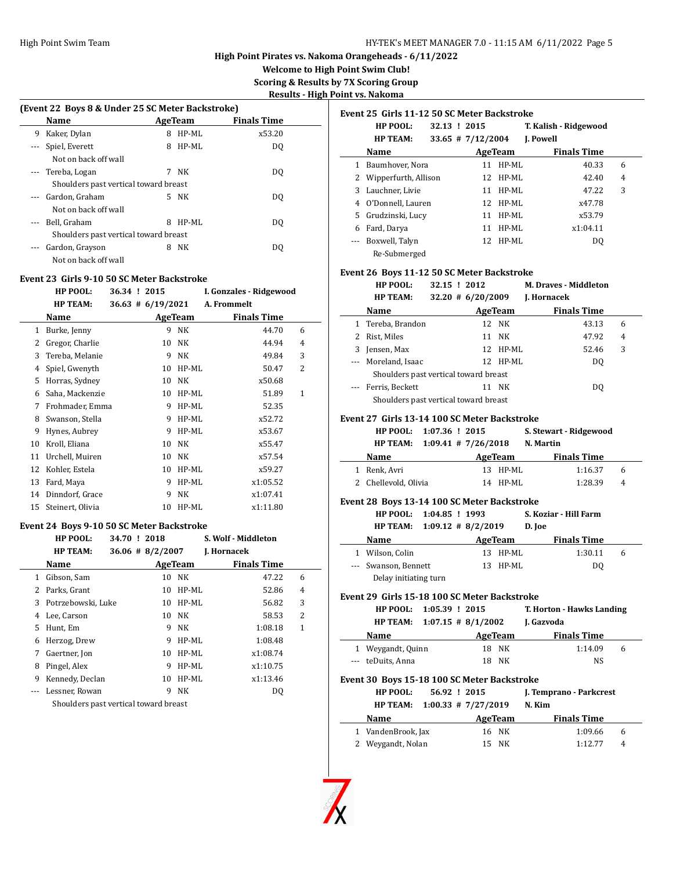## HY-TEK's MEET MANAGER 7.0 - 11:15 AM 6/11/2022 Page 5

**High Point Pirates vs. Nakoma Orangeheads - 6/11/2022**

**Welcome to High Point Swim Club!**

**Scoring & Results by 7X Scoring Group**

| Results - High Point vs. Nakoma |  |  |
|---------------------------------|--|--|
|                                 |  |  |

| (Event 22 Boys 8 & Under 25 SC Meter Backstroke) |   |       |                                                                                                   |  |  |  |  |
|--------------------------------------------------|---|-------|---------------------------------------------------------------------------------------------------|--|--|--|--|
| Name                                             |   |       | <b>Finals Time</b>                                                                                |  |  |  |  |
| Kaker, Dylan                                     | 8 | HP-ML | x53.20                                                                                            |  |  |  |  |
| Spiel, Everett                                   | 8 | HP-ML | DO                                                                                                |  |  |  |  |
| Not on back off wall                             |   |       |                                                                                                   |  |  |  |  |
| --- Tereba, Logan                                | 7 | NK    | DO.                                                                                               |  |  |  |  |
|                                                  |   |       |                                                                                                   |  |  |  |  |
| Gardon, Graham                                   |   |       | DO.                                                                                               |  |  |  |  |
| Not on back off wall                             |   |       |                                                                                                   |  |  |  |  |
| Bell, Graham                                     | 8 | HP-ML | DO                                                                                                |  |  |  |  |
|                                                  |   |       |                                                                                                   |  |  |  |  |
| Gardon, Grayson                                  | 8 | NΚ    | DO                                                                                                |  |  |  |  |
| Not on back off wall                             |   |       |                                                                                                   |  |  |  |  |
|                                                  |   |       | AgeTeam<br>Shoulders past vertical toward breast<br>5 NK<br>Shoulders past vertical toward breast |  |  |  |  |

## **Event 23 Girls 9-10 50 SC Meter Backstroke**

|    | HP POOL:         |  | 36.34 ! 2015          |         | I. Gonzales - Ridgewood |   |
|----|------------------|--|-----------------------|---------|-------------------------|---|
|    | <b>HP TEAM:</b>  |  | $36.63 \pm 6/19/2021$ |         | A. Frommelt             |   |
|    | Name             |  |                       | AgeTeam | <b>Finals Time</b>      |   |
| 1  | Burke, Jenny     |  | 9                     | NK      | 44.70                   | 6 |
| 2  | Gregor, Charlie  |  | 10                    | NK      | 44.94                   | 4 |
| 3  | Tereba, Melanie  |  | 9                     | NK      | 49.84                   | 3 |
| 4  | Spiel, Gwenyth   |  | 10                    | HP-ML   | 50.47                   | 2 |
| 5  | Horras, Sydney   |  | 10                    | NK      | x50.68                  |   |
| 6  | Saha, Mackenzie  |  | 10                    | HP-ML   | 51.89                   | 1 |
| 7  | Frohmader, Emma  |  | 9                     | HP-ML   | 52.35                   |   |
| 8  | Swanson, Stella  |  | 9                     | HP-ML   | x52.72                  |   |
| 9  | Hynes, Aubrey    |  | 9                     | HP-ML   | x53.67                  |   |
| 10 | Kroll, Eliana    |  | 10                    | NK      | x55.47                  |   |
| 11 | Urchell, Muiren  |  | 10                    | NK      | x57.54                  |   |
| 12 | Kohler, Estela   |  | 10                    | HP-ML   | x59.27                  |   |
| 13 | Fard, Maya       |  | 9                     | HP-ML   | x1:05.52                |   |
| 14 | Dinndorf, Grace  |  | 9                     | NK      | x1:07.41                |   |
| 15 | Steinert, Olivia |  | 10                    | HP-ML   | x1:11.80                |   |
|    |                  |  |                       |         |                         |   |

### **Event 24 Boys 9-10 50 SC Meter Backstroke**

|    | HP POOL:                              | 34.70 ! 2018         | S. Wolf - Middleton |   |
|----|---------------------------------------|----------------------|---------------------|---|
|    | <b>HP TEAM:</b>                       | $36.06 \pm 8/2/2007$ | J. Hornacek         |   |
|    | Name                                  | AgeTeam              | <b>Finals Time</b>  |   |
|    | 1 Gibson, Sam                         | NK<br>10             | 47.22               | 6 |
|    | 2 Parks, Grant                        | 10 HP-ML             | 52.86               | 4 |
|    | 3 Potrzebowski, Luke                  | 10                   | HP-ML<br>56.82      | 3 |
| 4  | Lee, Carson                           | NK<br>10             | 58.53               | 2 |
| 5. | Hunt, Em                              | 9<br>NK              | 1:08.18             | 1 |
| 6  | Herzog, Drew                          | 9                    | HP-ML<br>1:08.48    |   |
| 7  | Gaertner, Jon                         | 10                   | HP-ML<br>x1:08.74   |   |
| 8  | Pingel, Alex                          | 9                    | HP-ML<br>x1:10.75   |   |
| 9  | Kennedy, Declan                       | 10                   | HP-ML<br>x1:13.46   |   |
|    | Lessner, Rowan                        | 9<br>NK              | DQ                  |   |
|    | Shoulders past vertical toward breast |                      |                     |   |

|    | Event 25  Girls 11-12 50 SC Meter Backstroke |              |                       |          |                       |                |  |  |
|----|----------------------------------------------|--------------|-----------------------|----------|-----------------------|----------------|--|--|
|    | HP POOL:                                     | 32.13 ! 2015 |                       |          | T. Kalish - Ridgewood |                |  |  |
|    | <b>HP TEAM:</b>                              |              | $33.65$ # $7/12/2004$ |          | J. Powell             |                |  |  |
|    | Name                                         |              |                       | AgeTeam  | <b>Finals Time</b>    |                |  |  |
| 1  | Baumhover, Nora                              |              | 11                    | $HP-ML$  | 40.33                 | 6              |  |  |
| 2  | Wipperfurth, Allison                         |              | 12                    | $HP-ML$  | 42.40                 | $\overline{4}$ |  |  |
| 3  | Lauchner, Livie                              |              | 11                    | $HP-ML$  | 47.22                 | 3              |  |  |
| 4  | O'Donnell, Lauren                            |              | 12                    | HP-ML    | x47.78                |                |  |  |
| 5. | Grudzinski, Lucy                             |              | 11                    | HP-ML    | x53.79                |                |  |  |
| 6  | Fard, Darya                                  |              | 11                    | HP-ML    | x1:04.11              |                |  |  |
|    | Boxwell, Talyn                               |              |                       | 12 HP-ML | DO.                   |                |  |  |
|    | Re-Submerged                                 |              |                       |          |                       |                |  |  |

### **Event 26 Boys 11-12 50 SC Meter Backstroke**

|                                                                        |  |              |          | HP POOL: 32.15 ! 2012 M. Draves - Middleton |   |  |
|------------------------------------------------------------------------|--|--------------|----------|---------------------------------------------|---|--|
| HP TEAM: 32.20 # 6/20/2009 J. Hornacek                                 |  |              |          |                                             |   |  |
|                                                                        |  |              |          | Name AgeTeam Finals Time                    |   |  |
| 1 Tereba, Brandon                                                      |  |              | 12 NK    | 43.13                                       | 6 |  |
| 2 Rist, Miles                                                          |  |              | 11 NK    | 47.92                                       | 4 |  |
| 3 Jensen, Max                                                          |  |              | 12 HP-ML | 52.46                                       | 3 |  |
| --- Moreland, Isaac                                                    |  |              | 12 HP-ML | DQ                                          |   |  |
| Shoulders past vertical toward breast                                  |  |              |          |                                             |   |  |
| --- Ferris, Beckett                                                    |  |              | 11 NK    | DQ                                          |   |  |
| Shoulders past vertical toward breast                                  |  |              |          |                                             |   |  |
| Event 27 Girls 13-14 100 SC Meter Backstroke                           |  |              |          |                                             |   |  |
| HP POOL: 1:07.36 ! 2015                                                |  |              |          | S. Stewart - Ridgewood                      |   |  |
| HP TEAM: 1:09.41 # 7/26/2018 N. Martin                                 |  |              |          |                                             |   |  |
| Name                                                                   |  |              |          | <b>Example 2 AgeTeam</b> Finals Time        |   |  |
| 1 Renk, Avri                                                           |  |              | 13 HP-ML | 1:16.37                                     | 6 |  |
| 2 Chellevold, Olivia 14 HP-ML                                          |  |              |          | 1:28.39                                     | 4 |  |
|                                                                        |  |              |          |                                             |   |  |
| Event 28 Boys 13-14 100 SC Meter Backstroke<br>HP POOL: 1:04.85 ! 1993 |  |              |          |                                             |   |  |
| HP TEAM: $1:09.12 \# 8/2/2019$ D. Joe                                  |  |              |          | S. Koziar - Hill Farm                       |   |  |
|                                                                        |  |              |          |                                             |   |  |
|                                                                        |  |              |          | Name AgeTeam Finals Time                    |   |  |
| 1 Wilson, Colin                                                        |  |              | 13 HP-ML | 1:30.11                                     | 6 |  |
| --- Swanson, Bennett                                                   |  | $13$ HP-ML   |          | DQ                                          |   |  |
| Delay initiating turn                                                  |  |              |          |                                             |   |  |
| Event 29 Girls 15-18 100 SC Meter Backstroke                           |  |              |          |                                             |   |  |
| HP POOL: 1:05.39 ! 2015                                                |  |              |          | T. Horton - Hawks Landing                   |   |  |
| HP TEAM: 1:07.15 # 8/1/2002 J. Gazvoda                                 |  |              |          |                                             |   |  |
|                                                                        |  |              |          | Name AgeTeam Finals Time                    |   |  |
| 1 Weygandt, Quinn                                                      |  |              | 18 NK    | 1:14.09                                     | 6 |  |
| --- teDuits, Anna                                                      |  |              | 18 NK    | NS.                                         |   |  |
| Event 30 Boys 15-18 100 SC Meter Backstroke                            |  |              |          |                                             |   |  |
| <b>HP POOL:</b>                                                        |  | 56.92 ! 2015 |          | J. Temprano - Parkcrest                     |   |  |
| HP TEAM: 1:00.33 # 7/27/2019 N. Kim                                    |  |              |          |                                             |   |  |
| <b>Name</b>                                                            |  |              |          | AgeTeam Finals Time                         |   |  |

| Name               | AgeTeam | <b>Finals Time</b> |   |
|--------------------|---------|--------------------|---|
| 1 VandenBrook, Jax | 16 NK   | 1:09.66            | 6 |
| 2 Weygandt, Nolan  | 15 NK   | 1:12.77            | 4 |

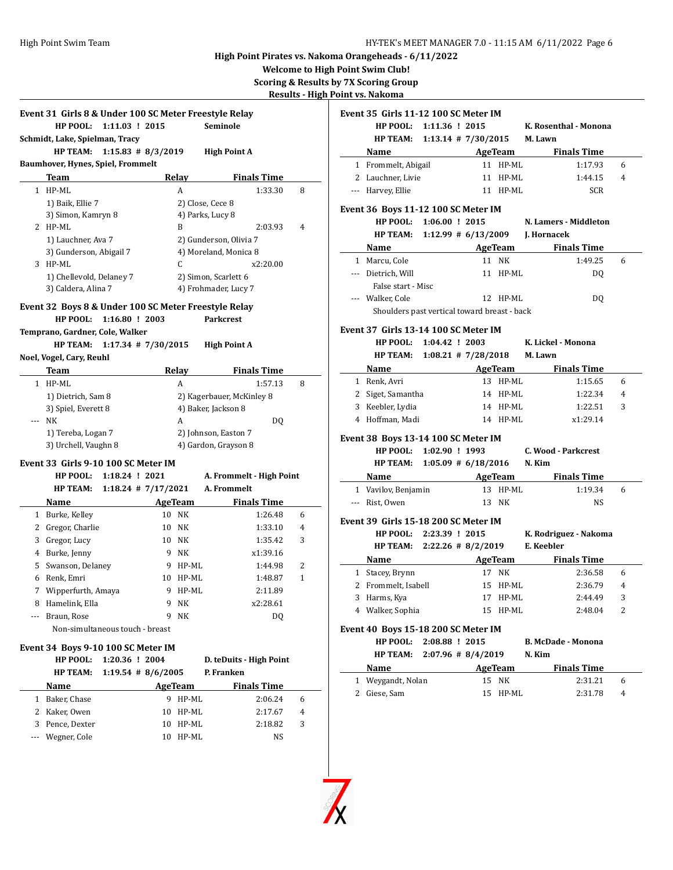**Welcome to High Point Swim Club!**

**Scoring & Results by 7X Scoring Group**

**Results - High Point vs. Nakoma**

X

|               | HP POOL: 1:11.03 ! 2015<br>Schmidt, Lake, Spielman, Tracy |                  | Event 31 Girls 8 & Under 100 SC Meter Freestyle Relay |          | Seminole                  |                    |                | Event 35 Girls 11 | <b>HP POOL:</b><br><b>HP TEAM:</b>                                    |
|---------------|-----------------------------------------------------------|------------------|-------------------------------------------------------|----------|---------------------------|--------------------|----------------|-------------------|-----------------------------------------------------------------------|
|               | HP TEAM: 1:15.83 # 8/3/2019                               |                  |                                                       |          | <b>High Point A</b>       |                    |                |                   | Name                                                                  |
|               | Baumhover, Hynes, Spiel, Frommelt                         |                  |                                                       |          |                           |                    |                |                   | 1 Frommelt, Ab                                                        |
|               | <b>Team</b>                                               |                  |                                                       | Relay    |                           | <b>Finals Time</b> |                |                   | 2 Lauchner, Livi                                                      |
|               | 1 HP-ML                                                   |                  |                                                       | A        |                           | 1:33.30            | 8              |                   | --- Harvey, Ellie                                                     |
|               | 1) Baik, Ellie 7                                          |                  |                                                       |          | 2) Close, Cece 8          |                    |                |                   |                                                                       |
|               | 3) Simon, Kamryn 8                                        |                  |                                                       |          | 4) Parks, Lucy 8          |                    |                |                   | Event 36 Boys 11                                                      |
|               | 2 HP-ML                                                   |                  |                                                       | B        |                           | 2:03.93            | $\overline{4}$ |                   | HP POOL:                                                              |
|               | 1) Lauchner, Ava 7                                        |                  |                                                       |          | 2) Gunderson, Olivia 7    |                    |                |                   | <b>HP TEAM:</b>                                                       |
|               | 3) Gunderson, Abigail 7                                   |                  |                                                       |          | 4) Moreland, Monica 8     |                    |                |                   | Name                                                                  |
|               | 3 HP-ML                                                   |                  |                                                       | C        |                           | x2:20.00           |                |                   | 1 Marcu, Cole                                                         |
|               | 1) Chellevold, Delaney 7                                  |                  |                                                       |          | 2) Simon, Scarlett 6      |                    |                |                   | --- Dietrich, Will                                                    |
|               | 3) Caldera, Alina 7                                       |                  |                                                       |          | 4) Frohmader, Lucy 7      |                    |                |                   | False start -                                                         |
|               |                                                           |                  |                                                       |          |                           |                    |                |                   | --- Walker, Cole                                                      |
|               | Event 32 Boys 8 & Under 100 SC Meter Freestyle Relay      |                  |                                                       |          |                           |                    |                |                   | Shoulders p                                                           |
|               | HP POOL:                                                  | $1:16.80$ ! 2003 |                                                       |          | Parkcrest                 |                    |                |                   | Event 37 Girls 13                                                     |
|               | Temprano, Gardner, Cole, Walker                           |                  |                                                       |          |                           |                    |                |                   | <b>HP POOL:</b>                                                       |
|               | HP TEAM: 1:17.34 # 7/30/2015                              |                  |                                                       |          | <b>High Point A</b>       |                    |                |                   | <b>HP TEAM:</b>                                                       |
|               | Noel, Vogel, Cary, Reuhl                                  |                  |                                                       |          |                           |                    |                |                   |                                                                       |
|               | Team                                                      |                  |                                                       | Relay    |                           | <b>Finals Time</b> |                |                   | Name<br>1 Renk, Avri                                                  |
|               | 1 HP-ML                                                   |                  |                                                       | A        |                           | 1:57.13            | 8              |                   | 2 Siget, Samant                                                       |
|               | 1) Dietrich, Sam 8                                        |                  |                                                       |          | 2) Kagerbauer, McKinley 8 |                    |                |                   | 3 Keebler, Lydia                                                      |
|               | 3) Spiel, Everett 8                                       |                  |                                                       |          | 4) Baker, Jackson 8       |                    |                |                   | 4 Hoffman, Mad                                                        |
|               |                                                           |                  |                                                       |          |                           |                    |                |                   |                                                                       |
| $\frac{1}{2}$ | <b>NK</b>                                                 |                  |                                                       | A        |                           | DQ                 |                |                   |                                                                       |
|               | 1) Tereba, Logan 7                                        |                  |                                                       |          | 2) Johnson, Easton 7      |                    |                |                   | Event 38 Boys 13                                                      |
|               | 3) Urchell, Vaughn 8                                      |                  |                                                       |          | 4) Gardon, Grayson 8      |                    |                |                   |                                                                       |
|               | Event 33 Girls 9-10 100 SC Meter IM                       |                  |                                                       |          |                           |                    |                |                   |                                                                       |
|               | HP POOL:                                                  | 1:18.24 ! 2021   |                                                       |          | A. Frommelt - High Point  |                    |                |                   |                                                                       |
|               | <b>HP TEAM:</b>                                           |                  | $1:18.24$ # $7/17/2021$                               |          | A. Frommelt               |                    |                |                   | <b>HP POOL:</b><br><b>HP TEAM:</b><br><b>Name</b>                     |
|               | Name                                                      |                  |                                                       | AgeTeam  |                           | <b>Finals Time</b> |                |                   | --- Rist, Owen                                                        |
|               | 1 Burke, Kelley                                           |                  |                                                       | 10 NK    |                           | 1:26.48            | 6              |                   |                                                                       |
|               |                                                           |                  |                                                       | 10 NK    |                           | 1:33.10            | 4              |                   |                                                                       |
|               | 2 Gregor, Charlie                                         |                  |                                                       | 10 NK    |                           | 1:35.42            | 3              |                   | 1 Vavilov, Benja<br>Event 39 Girls 15<br>HP POOL:                     |
|               | 3 Gregor, Lucy                                            |                  |                                                       | 9 NK     |                           | x1:39.16           |                |                   |                                                                       |
|               | 4 Burke, Jenny                                            |                  |                                                       | 9 HP-ML  |                           | 1:44.98            | 2              |                   | Name                                                                  |
|               | 5 Swanson, Delaney                                        |                  |                                                       |          |                           |                    |                |                   |                                                                       |
|               | 6 Renk, Emri                                              |                  |                                                       | 10 HP-ML |                           | 1:48.87            | $\mathbf{1}$   |                   |                                                                       |
|               | 7 Wipperfurth, Amaya                                      |                  |                                                       | 9 HP-ML  |                           | 2:11.89            |                |                   | <b>HP TEAM:</b><br>1 Stacey, Brynn<br>2 Frommelt, Isa<br>3 Harms, Kya |
|               | 8 Hamelink, Ella                                          |                  |                                                       | 9 NK     |                           | x2:28.61           |                |                   | 4 Walker, Sophi                                                       |
| ---           | Braun, Rose                                               |                  | 9                                                     | NΚ       |                           | DQ                 |                |                   |                                                                       |
|               | Non-simultaneous touch - breast                           |                  |                                                       |          |                           |                    |                |                   |                                                                       |
|               | Event 34 Boys 9-10 100 SC Meter IM                        |                  |                                                       |          |                           |                    |                |                   |                                                                       |
|               | HP POOL:                                                  |                  | 1:20.36 ! 2004                                        |          | D. teDuits - High Point   |                    |                |                   |                                                                       |
|               | <b>HP TEAM:</b>                                           |                  | $1:19.54$ # 8/6/2005                                  |          | P. Franken                |                    |                |                   | Event 40 Boys 15<br>HP POOL:<br><b>HP TEAM:</b><br>Name               |
|               | Name                                                      |                  |                                                       | AgeTeam  |                           | <b>Finals Time</b> |                |                   |                                                                       |
|               | 1 Baker, Chase                                            |                  |                                                       | 9 HP-ML  |                           | 2:06.24            | 6              |                   | 1 Weygandt, No<br>2 Giese, Sam                                        |
|               | 2 Kaker, Owen                                             |                  |                                                       | 10 HP-ML |                           | 2:17.67            | 4              |                   |                                                                       |
|               | 3 Pence, Dexter                                           |                  |                                                       | 10 HP-ML |                           | 2:18.82            | 3              |                   |                                                                       |

|   | <u>int vs. Nakoma</u>                                          |                          |                      |          |                                          |                |
|---|----------------------------------------------------------------|--------------------------|----------------------|----------|------------------------------------------|----------------|
|   | Event 35 Girls 11-12 100 SC Meter IM                           |                          |                      |          |                                          |                |
|   | HP POOL: 1:11.36 ! 2015                                        |                          |                      |          | K. Rosenthal - Monona                    |                |
|   | HP TEAM: 1:13.14 # 7/30/2015 M. Lawn                           |                          |                      |          |                                          |                |
|   |                                                                |                          |                      |          | Name AgeTeam Finals Time                 |                |
|   | 1 Frommelt, Abigail                                            |                          |                      | 11 HP-ML | 1:17.93                                  | 6              |
|   | 2 Lauchner, Livie                                              |                          |                      | 11 HP-ML | 1:44.15                                  | $\overline{4}$ |
|   | --- Harvey, Ellie                                              |                          |                      | 11 HP-ML | <b>SCR</b>                               |                |
|   |                                                                |                          |                      |          |                                          |                |
|   | Event 36 Boys 11-12 100 SC Meter IM                            |                          |                      |          |                                          |                |
|   | HP POOL: 1:06.00 ! 2015                                        |                          |                      |          | N. Lamers - Middleton                    |                |
|   |                                                                |                          |                      |          | HP TEAM: 1:12.99 # 6/13/2009 J. Hornacek |                |
|   | Name                                                           | <b>Example 2 AgeTeam</b> |                      |          | <b>Finals Time</b>                       |                |
|   | 1 Marcu, Cole                                                  |                          |                      | 11 NK    | 1:49.25                                  | 6              |
|   | --- Dietrich, Will                                             |                          |                      | 11 HP-ML | DQ                                       |                |
|   | False start - Misc                                             |                          |                      |          |                                          |                |
|   | --- Walker, Cole                                               |                          |                      | 12 HP-ML | DQ                                       |                |
|   | Shoulders past vertical toward breast - back                   |                          |                      |          |                                          |                |
|   |                                                                |                          |                      |          |                                          |                |
|   | Event 37 Girls 13-14 100 SC Meter IM                           |                          |                      |          |                                          |                |
|   | HP POOL: 1:04.42 ! 2003                                        |                          |                      |          | K. Lickel - Monona                       |                |
|   | HP TEAM: 1:08.21 # 7/28/2018 M. Lawn                           |                          |                      |          |                                          |                |
|   | Name                                                           |                          |                      |          | <b>Example 2.1 AgeTeam</b> Finals Time   |                |
|   | 1 Renk, Avri                                                   |                          |                      | 13 HP-ML | 1:15.65                                  | 6              |
|   | 2 Siget, Samantha                                              |                          |                      | 14 HP-ML | 1:22.34                                  | $\overline{4}$ |
|   | 3 Keebler, Lydia                                               |                          |                      | 14 HP-ML | 1:22.51                                  | 3              |
|   | 4 Hoffman, Madi                                                |                          |                      | 14 HP-ML | x1:29.14                                 |                |
|   |                                                                |                          |                      |          |                                          |                |
|   | Event 38 Boys 13-14 100 SC Meter IM<br>HP POOL: 1:02.90 ! 1993 |                          |                      |          | C. Wood - Parkcrest                      |                |
|   |                                                                |                          |                      |          |                                          |                |
|   | HP TEAM: 1:05.09 # 6/18/2016 N. Kim                            |                          |                      |          |                                          |                |
|   |                                                                |                          |                      |          | Name AgeTeam Finals Time                 |                |
|   | 1 Vavilov, Benjamin                                            |                          |                      | 13 HP-ML | 1:19.34                                  | 6              |
|   | --- Rist, Owen                                                 |                          |                      | 13 NK    | NS                                       |                |
|   | Event 39 Girls 15-18 200 SC Meter IM                           |                          |                      |          |                                          |                |
|   | HP POOL: 2:23.39 ! 2015                                        |                          |                      |          | K. Rodriguez - Nakoma                    |                |
|   | HP TEAM: $2:22.26 \# 8/2/2019$                                 |                          |                      |          | E. Keebler                               |                |
|   | <b>Name</b>                                                    |                          | <b>AgeTeam</b>       |          | <b>Finals Time</b>                       |                |
|   | 1 Stacey, Brynn                                                |                          |                      | 17 NK    | 2:36.58                                  | 6              |
|   | 2 Frommelt, Isabell 15 HP-ML                                   |                          |                      |          | 2:36.79                                  | $4^{\circ}$    |
| 3 | Harms, Kya                                                     |                          | 17                   | HP-ML    | 2:44.49                                  | 3              |
| 4 | Walker, Sophia                                                 |                          | 15                   | HP-ML    | 2:48.04                                  | 2              |
|   |                                                                |                          |                      |          |                                          |                |
|   | Event 40 Boys 15-18 200 SC Meter IM                            |                          |                      |          |                                          |                |
|   | HP POOL:                                                       | 2:08.88 ! 2015           |                      |          | B. McDade - Monona                       |                |
|   | <b>HP TEAM:</b>                                                |                          | $2:07.96$ # 8/4/2019 |          | N. Kim                                   |                |
|   | Name                                                           |                          | <b>AgeTeam</b>       |          | <b>Finals Time</b>                       |                |
|   | 1 Weygandt, Nolan                                              |                          | 15                   | NK       | 2:31.21                                  | 6              |
|   | 2 Giese, Sam                                                   |                          | 15                   | HP-ML    | 2:31.78                                  | 4              |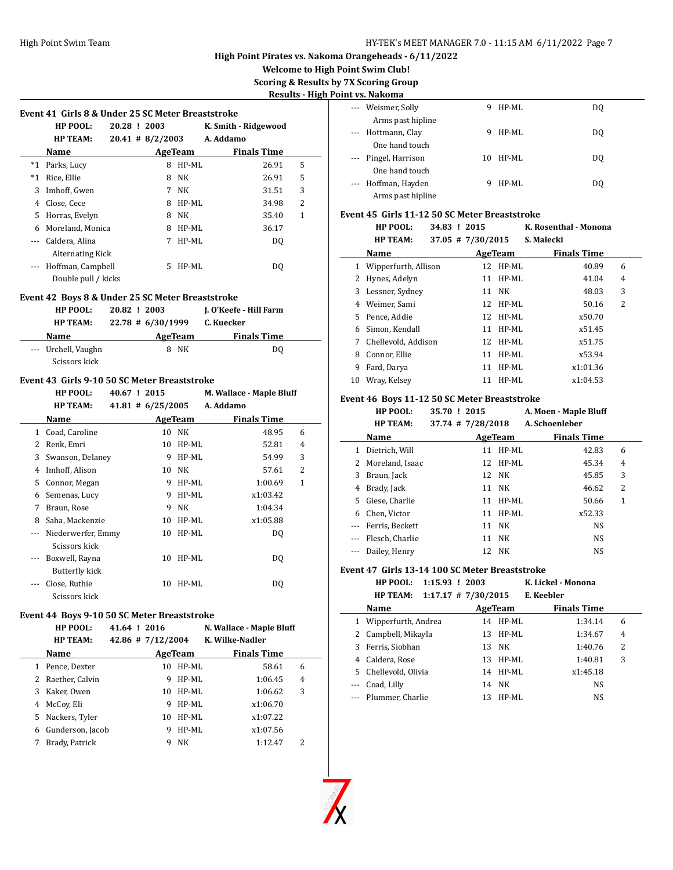**Welcome to High Point Swim Club!**

**Scoring & Results by 7X Scoring Group**

**h Point vs. Nakoma** 

 $\overline{a}$ 

| Event 41 Girls 8 & Under 25 SC Meter Breaststroke       |              |                       |                     |                          |        |
|---------------------------------------------------------|--------------|-----------------------|---------------------|--------------------------|--------|
| HP POOL:                                                | 20.28 ! 2003 |                       |                     | K. Smith - Ridgewood     |        |
| <b>HP TEAM:</b>                                         |              | $20.41 \# 8/2/2003$   |                     | A. Addamo                |        |
| Name                                                    |              |                       | AgeTeam             | <b>Finals Time</b>       |        |
| *1 Parks, Lucy                                          |              |                       | 8 HP-ML             | 26.91                    | 5      |
| *1 Rice, Ellie                                          |              |                       | 8 NK                | 26.91                    | 5      |
| 3 Imhoff, Gwen                                          |              |                       | 7 NK                | 31.51                    | 3      |
| 4 Close, Cece                                           |              |                       | 8 HP-ML             | 34.98                    | 2      |
| 5 Horras, Evelyn                                        |              |                       | 8 NK                | 35.40                    | 1      |
| 6 Moreland, Monica                                      |              |                       | 8 HP-ML             | 36.17                    |        |
| --- Caldera, Alina                                      |              |                       | 7 HP-ML             | DQ                       |        |
| <b>Alternating Kick</b>                                 |              |                       |                     |                          |        |
| --- Hoffman, Campbell                                   |              |                       | 5 HP-ML             | DQ                       |        |
| Double pull / kicks                                     |              |                       |                     |                          |        |
| Event 42 Boys 8 & Under 25 SC Meter Breaststroke        |              |                       |                     |                          |        |
| HP POOL:                                                | 20.82 ! 2003 |                       |                     | J. O'Keefe - Hill Farm   |        |
| <b>HP TEAM:</b>                                         |              | $22.78 \pm 6/30/1999$ |                     | C. Kuecker               |        |
| <b>Name</b>                                             |              |                       | <b>AgeTeam</b>      | <b>Finals Time</b>       |        |
| --- Urchell, Vaughn                                     |              |                       | 8 NK                | DQ                       |        |
| Scissors kick                                           |              |                       |                     |                          |        |
| Event 43 Girls 9-10 50 SC Meter Breaststroke            |              |                       |                     |                          |        |
| HP POOL:                                                | 40.67 ! 2015 |                       |                     | M. Wallace - Maple Bluff |        |
| <b>HP TEAM:</b>                                         |              | $41.81 \# 6/25/2005$  |                     | A. Addamo                |        |
| Name                                                    |              |                       | AgeTeam             | <b>Finals Time</b>       |        |
| 1 Coad, Caroline                                        |              |                       | 10 NK               | 48.95                    | 6      |
| 2 Renk, Emri                                            |              |                       | 10 HP-ML            | 52.81                    | 4      |
| 3 Swanson, Delaney                                      |              |                       | 9 HP-ML             | 54.99                    | 3      |
| 4 Imhoff, Alison                                        |              |                       |                     |                          |        |
|                                                         |              |                       | 10 NK               | 57.61                    | 2      |
| 5 Connor, Megan                                         |              |                       | 9 HP-ML             | 1:00.69                  | 1      |
| 6 Semenas, Lucy                                         |              |                       | 9 HP-ML             | x1:03.42                 |        |
| 7 Braun, Rose                                           |              |                       | 9 NK                | 1:04.34                  |        |
|                                                         |              |                       | 10 HP-ML            | x1:05.88                 |        |
| 8 Saha, Mackenzie                                       |              |                       | 10 HP-ML            | DQ                       |        |
| --- Niederwerfer, Emmy<br>Scissors kick                 |              |                       |                     |                          |        |
|                                                         |              |                       |                     |                          |        |
| --- Boxwell, Rayna                                      |              |                       | 10 HP-ML            | DQ                       |        |
| <b>Butterfly kick</b>                                   |              |                       |                     |                          |        |
| --- Close, Ruthie<br>Scissors kick                      |              |                       | 10 HP-ML            | DQ                       |        |
|                                                         |              |                       |                     |                          |        |
| Event 44 Boys 9-10 50 SC Meter Breaststroke<br>HP POOL: | 41.64 ! 2016 |                       |                     | N. Wallace - Maple Bluff |        |
| <b>HP TEAM:</b>                                         |              | 42.86 # 7/12/2004     |                     | K. Wilke-Nadler          |        |
| Name                                                    |              |                       | AgeTeam             | <b>Finals Time</b>       |        |
|                                                         |              |                       | 10 HP-ML            |                          | 6      |
| 1 Pence, Dexter                                         |              |                       |                     | 58.61                    |        |
| 2 Raether, Calvin<br>3 Kaker, Owen                      |              |                       | 9 HP-ML<br>10 HP-ML | 1:06.45<br>1:06.62       | 4<br>3 |

5 Nackers, Tyler 10 HP-ML x1:07.22 6 Gunderson, Jacob 9 HP-ML x1:07.56 7 Brady, Patrick 9 NK 1:12.47 2

| $\cdots$ | Weismer, Solly    | 9  | HP-ML | DO |
|----------|-------------------|----|-------|----|
|          | Arms past hipline |    |       |    |
| $\cdots$ | Hottmann, Clay    | 9  | HP-ML | DQ |
|          | One hand touch    |    |       |    |
| $\cdots$ | Pingel, Harrison  | 10 | HP-ML | DO |
|          | One hand touch    |    |       |    |
| $\cdots$ | Hoffman, Hayden   | 9  | HP-ML | DO |
|          | Arms past hipline |    |       |    |

#### **Event 45 Girls 11-12 50 SC Meter Breaststroke**

|              | HP POOL:<br><b>HP TEAM:</b> |  | 34.83 ! 2015<br>$37.05$ # $7/30/2015$ |          | K. Rosenthal - Monona<br>S. Malecki |   |
|--------------|-----------------------------|--|---------------------------------------|----------|-------------------------------------|---|
|              | Name                        |  |                                       | AgeTeam  | <b>Finals Time</b>                  |   |
| 1            | Wipperfurth, Allison        |  |                                       | 12 HP-ML | 40.89                               | 6 |
| $\mathbf{2}$ | Hynes, Adelyn               |  | 11                                    | $HP-ML$  | 41.04                               | 4 |
| 3            | Lessner, Sydney             |  |                                       | 11 NK    | 48.03                               | 3 |
| 4            | Weimer, Sami                |  |                                       | 12 HP-ML | 50.16                               | 2 |
| 5.           | Pence, Addie                |  |                                       | 12 HP-ML | x50.70                              |   |
| 6            | Simon. Kendall              |  | 11                                    | HP-ML    | x51.45                              |   |
| 7            | Chellevold, Addison         |  |                                       | 12 HP-ML | x51.75                              |   |
| 8            | Connor, Ellie               |  | 11                                    | HP-ML    | x53.94                              |   |
| 9            | Fard, Darya                 |  | 11                                    | $HP-ML$  | x1:01.36                            |   |
| 10           | Wray, Kelsev                |  | 11                                    | HP-ML    | x1:04.53                            |   |

## **Event 46 Boys 11-12 50 SC Meter Breaststroke**

| <b>HP POOL:</b> | 35.70 ! 2015          | A. Moen - Maple Bluff |
|-----------------|-----------------------|-----------------------|
| <b>HP TEAM:</b> | $37.74$ # $7/28/2018$ | A. Schoenleber        |

|   | Name                |    | AgeTeam  | <b>Finals Time</b> |   |  |
|---|---------------------|----|----------|--------------------|---|--|
| 1 | Dietrich, Will      | 11 | HP-ML    | 42.83              | 6 |  |
|   | 2 Moreland, Isaac   |    | 12 HP-ML | 45.34              | 4 |  |
| 3 | Braun, Jack         |    | 12 NK    | 45.85              | 3 |  |
| 4 | Brady, Jack         |    | 11 NK    | 46.62              | 2 |  |
|   | 5 Giese, Charlie    | 11 | HP-ML    | 50.66              | 1 |  |
| 6 | Chen, Victor        | 11 | HP-ML    | x52.33             |   |  |
|   | --- Ferris, Beckett |    | 11 NK    | <b>NS</b>          |   |  |
|   | --- Flesch, Charlie | 11 | NK       | <b>NS</b>          |   |  |
|   | --- Dailey, Henry   | 12 | NK.      | <b>NS</b>          |   |  |

#### **Event 47 Girls 13-14 100 SC Meter Breaststroke**

|    | $1:15.93$ ! 2003<br>HP POOL:             |         |            | K. Lickel - Monona |                |
|----|------------------------------------------|---------|------------|--------------------|----------------|
|    | $1:17.17$ # 7/30/2015<br><b>HP TEAM:</b> |         | E. Keebler |                    |                |
|    | Name                                     | AgeTeam |            | <b>Finals Time</b> |                |
|    | Wipperfurth, Andrea                      | 14      | $HP-ML$    | 1:34.14            | 6              |
|    | Campbell, Mikayla                        | 13      | $HP-ML$    | 1:34.67            | $\overline{4}$ |
|    | Ferris, Siobhan                          | 13 NK   |            | 1:40.76            | 2              |
| 4  | Caldera, Rose                            | 13      | HP-ML      | 1:40.81            | 3              |
| 5. | Chellevold, Olivia                       | 14      | HP-ML      | x1:45.18           |                |
|    | Coad, Lilly                              | 14      | NK         | NS                 |                |
|    | --- Plummer, Charlie                     | 13      | HP-ML      | NS                 |                |



 $\overline{\phantom{0}}$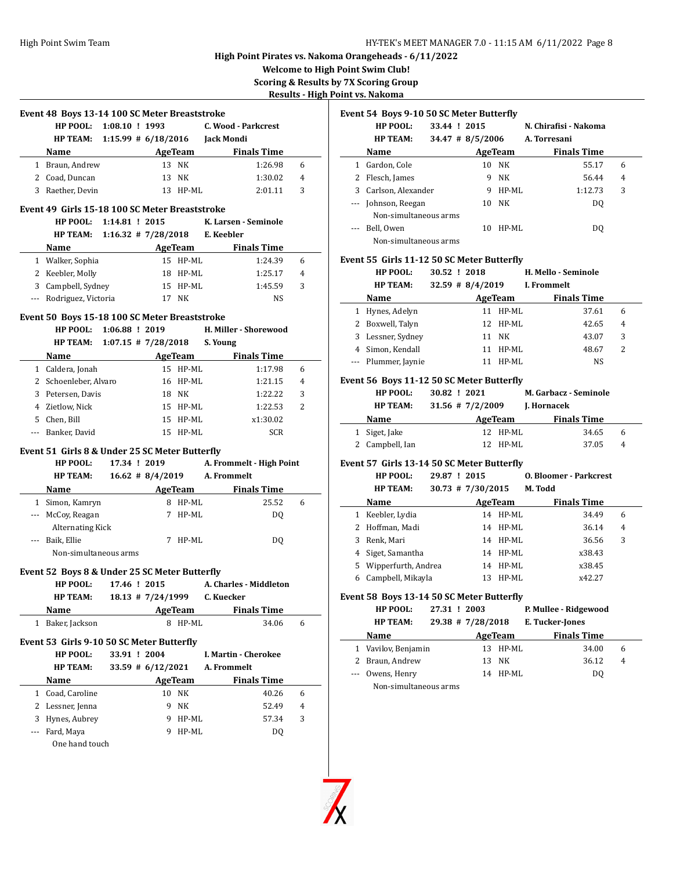**Welcome to High Point Swim Club! Scoring & Results by 7X Scoring Group**

**Results - High Point vs. Nakoma**

|     | Event 48 Boys 13-14 100 SC Meter Breaststroke  |                          |                      |                |                                      |   |
|-----|------------------------------------------------|--------------------------|----------------------|----------------|--------------------------------------|---|
|     | HP POOL: 1:08.10 ! 1993                        |                          |                      |                | C. Wood - Parkcrest                  |   |
|     | <b>HP TEAM:</b>                                |                          |                      |                | 1:15.99 # 6/18/2016 Jack Mondi       |   |
|     | Name                                           |                          |                      |                | AgeTeam Finals Time                  |   |
|     | 1 Braun, Andrew                                |                          |                      | 13 NK          | 1:26.98                              | 6 |
|     | 2 Coad, Duncan                                 |                          |                      | 13 NK          | 1:30.02                              | 4 |
|     | 3 Raether, Devin                               |                          |                      | 13 HP-ML       | 2:01.11                              | 3 |
|     | Event 49 Girls 15-18 100 SC Meter Breaststroke |                          |                      |                |                                      |   |
|     | HP POOL: 1:14.81 ! 2015                        |                          |                      |                | K. Larsen - Seminole                 |   |
|     | HP TEAM: 1:16.32 # 7/28/2018 E. Keebler        |                          |                      |                |                                      |   |
|     | Name                                           | <b>Example 2</b> AgeTeam |                      |                | <b>Finals Time</b>                   |   |
|     | 1 Walker, Sophia                               |                          |                      | 15 HP-ML       | 1:24.39                              | 6 |
|     | 2 Keebler, Molly                               |                          |                      | 18 HP-ML       | 1:25.17                              | 4 |
|     | 3 Campbell, Sydney                             |                          |                      | 15 HP-ML       | 1:45.59                              | 3 |
|     | --- Rodriguez, Victoria                        |                          |                      | 17 NK          | NS                                   |   |
|     |                                                |                          |                      |                |                                      |   |
|     | Event 50 Boys 15-18 100 SC Meter Breaststroke  |                          |                      |                |                                      |   |
|     | HP POOL:                                       | 1:06.88 ! 2019           |                      |                | H. Miller - Shorewood                |   |
|     | <b>HP TEAM:</b>                                | $1:07.15$ # 7/28/2018    |                      |                | S. Young                             |   |
|     | Name AgeTeam                                   |                          |                      |                | <b>Finals Time</b>                   |   |
|     | 1 Caldera, Jonah                               |                          |                      | 15 HP-ML       | 1:17.98                              | 6 |
|     | 2 Schoenleber, Alvaro                          |                          |                      | 16 HP-ML       | 1:21.15                              | 4 |
|     | 3 Petersen, Davis                              |                          |                      | 18 NK          | 1:22.22                              | 3 |
|     | 4 Zietlow, Nick                                |                          |                      | 15 HP-ML       | 1:22.53                              | 2 |
|     | 5 Chen, Bill                                   |                          |                      | 15 HP-ML       | x1:30.02                             |   |
|     | --- Banker, David                              |                          |                      | 15 HP-ML       | <b>SCR</b>                           |   |
|     | Event 51 Girls 8 & Under 25 SC Meter Butterfly |                          |                      |                |                                      |   |
|     | HP POOL:                                       | 17.34 ! 2019             |                      |                | A. Frommelt - High Point             |   |
|     |                                                |                          |                      |                | 16.62 # 8/4/2019 A. Frommelt         |   |
|     | <b>HP TEAM:</b>                                |                          |                      |                |                                      |   |
|     |                                                |                          |                      |                |                                      |   |
|     | Name                                           |                          |                      |                | <b>Example 2 AgeTeam</b> Finals Time |   |
|     | 1 Simon, Kamryn                                |                          |                      | 8 HP-ML        | 25.52                                | 6 |
|     | --- McCoy, Reagan                              |                          |                      | 7 HP-ML        | DQ                                   |   |
|     | <b>Alternating Kick</b>                        |                          |                      |                |                                      |   |
|     | --- Baik, Ellie<br>Non-simultaneous arms       |                          |                      | 7 HP-ML        | DQ                                   |   |
|     |                                                |                          |                      |                |                                      |   |
|     | Event 52 Boys 8 & Under 25 SC Meter Butterfly  |                          |                      |                |                                      |   |
|     | HP POOL: 17.46 ! 2015                          |                          |                      |                | A. Charles - Middleton               |   |
|     | <b>HP TEAM:</b>                                |                          |                      |                | 18.13 # 7/24/1999 C. Kuecker         |   |
|     | Name                                           |                          |                      | AgeTeam        | <b>Finals Time</b>                   |   |
| 1   | Baker, Jackson                                 |                          | 8                    | HP-ML          | 34.06                                | 6 |
|     | Event 53 Girls 9-10 50 SC Meter Butterfly      |                          |                      |                |                                      |   |
|     | HP POOL:                                       | 33.91 ! 2004             |                      |                | I. Martin - Cherokee                 |   |
|     | <b>HP TEAM:</b>                                |                          | $33.59 \# 6/12/2021$ |                | A. Frommelt                          |   |
|     | Name                                           |                          |                      | <b>AgeTeam</b> | <b>Finals Time</b>                   |   |
|     | 1 Coad, Caroline                               |                          |                      | 10 NK          | 40.26                                | 6 |
|     | 2 Lessner, Jenna                               |                          | 9                    | NΚ             | 52.49                                | 4 |
| 3   | Hynes, Aubrey                                  |                          | 9                    | HP-ML          | 57.34                                | 3 |
| --- | Fard, Maya                                     |                          | 9                    | HP-ML          | DQ                                   |   |
|     | One hand touch                                 |                          |                      |                |                                      |   |

|   | Event 54 Boys 9-10 50 SC Meter Butterfly                                                                                                                                                                                       |              |                   |                      |                                      |        |
|---|--------------------------------------------------------------------------------------------------------------------------------------------------------------------------------------------------------------------------------|--------------|-------------------|----------------------|--------------------------------------|--------|
|   | HP POOL:                                                                                                                                                                                                                       |              | 33.44 ! 2015      |                      | N. Chirafisi - Nakoma                |        |
|   | <b>HP TEAM:</b>                                                                                                                                                                                                                |              |                   |                      | 34.47 # 8/5/2006 A. Torresani        |        |
|   | Name and the state of the state of the state of the state of the state of the state of the state of the state of the state of the state of the state of the state of the state of the state of the state of the state of the s |              |                   |                      | AgeTeam<br><b>Finals Time</b>        |        |
|   | 1 Gardon, Cole                                                                                                                                                                                                                 |              |                   | 10 NK                | 55.17                                | 6      |
|   | 2 Flesch, James                                                                                                                                                                                                                |              |                   | 9 NK                 | 56.44                                | 4      |
|   | 3 Carlson, Alexander                                                                                                                                                                                                           |              |                   | 9 HP-ML              | 1:12.73                              | 3      |
|   | --- Johnson, Reegan                                                                                                                                                                                                            |              |                   | 10 NK                | DQ                                   |        |
|   | Non-simultaneous arms                                                                                                                                                                                                          |              |                   |                      |                                      |        |
|   | --- Bell, Owen                                                                                                                                                                                                                 |              |                   | 10 HP-ML             | DQ                                   |        |
|   | Non-simultaneous arms                                                                                                                                                                                                          |              |                   |                      |                                      |        |
|   |                                                                                                                                                                                                                                |              |                   |                      |                                      |        |
|   | Event 55 Girls 11-12 50 SC Meter Butterfly<br>HP POOL:                                                                                                                                                                         |              | 30.52 ! 2018      |                      | H. Mello - Seminole                  |        |
|   | <b>HP TEAM:</b>                                                                                                                                                                                                                |              |                   |                      | 32.59 # 8/4/2019 I. Frommelt         |        |
|   |                                                                                                                                                                                                                                |              |                   |                      |                                      |        |
|   | <b>Name</b>                                                                                                                                                                                                                    |              |                   |                      | <b>Example 2 AgeTeam</b> Finals Time |        |
|   | 1 Hynes, Adelyn<br>2 Boxwell, Talyn                                                                                                                                                                                            |              |                   | 11 HP-ML<br>12 HP-ML | 37.61                                | 6<br>4 |
|   |                                                                                                                                                                                                                                |              |                   |                      | 42.65                                |        |
|   | 3 Lessner, Sydney                                                                                                                                                                                                              |              |                   | 11 NK                | 43.07                                | 3      |
|   | 4 Simon, Kendall                                                                                                                                                                                                               |              |                   | 11 HP-ML             | 48.67                                | 2      |
|   | --- Plummer, Jaynie                                                                                                                                                                                                            |              |                   | 11 HP-ML             | NS                                   |        |
|   | Event 56 Boys 11-12 50 SC Meter Butterfly                                                                                                                                                                                      |              |                   |                      |                                      |        |
|   | HP POOL:                                                                                                                                                                                                                       |              | 30.82 ! 2021      |                      | M. Garbacz - Seminole                |        |
|   | <b>HP TEAM:</b>                                                                                                                                                                                                                |              |                   |                      | 31.56 # 7/2/2009 J. Hornacek         |        |
|   | <b>Name</b>                                                                                                                                                                                                                    |              | <b>AgeTeam</b>    |                      | <b>Finals Time</b>                   |        |
|   | 1 Siget, Jake                                                                                                                                                                                                                  |              |                   | 12 HP-ML             | 34.65                                | 6      |
|   | 2 Campbell, Ian                                                                                                                                                                                                                |              |                   | 12 HP-ML             | 37.05                                | 4      |
|   | Event 57 Girls 13-14 50 SC Meter Butterfly                                                                                                                                                                                     |              |                   |                      |                                      |        |
|   | <b>HP POOL:</b>                                                                                                                                                                                                                |              | 29.87 ! 2015      |                      | 0. Bloomer - Parkcrest               |        |
|   | <b>HP TEAM:</b>                                                                                                                                                                                                                |              |                   |                      | $30.73$ # $7/30/2015$ M. Todd        |        |
|   | <b>Name</b>                                                                                                                                                                                                                    |              | <b>AgeTeam</b>    |                      | <b>Finals Time</b>                   |        |
|   | 1 Keebler, Lydia                                                                                                                                                                                                               |              |                   | 14 HP-ML             | 34.49                                | 6      |
|   | 2 Hoffman, Madi                                                                                                                                                                                                                |              |                   | 14 HP-ML             | 36.14                                | 4      |
|   | 3 Renk, Mari                                                                                                                                                                                                                   |              |                   | 14 HP-ML             | 36.56                                | 3      |
|   | 4 Siget, Samantha                                                                                                                                                                                                              |              |                   | 14 HP-ML             | x38.43                               |        |
|   |                                                                                                                                                                                                                                |              |                   |                      |                                      |        |
|   |                                                                                                                                                                                                                                |              |                   |                      |                                      |        |
|   | 5 Wipperfurth, Andrea                                                                                                                                                                                                          |              |                   | 14 HP-ML             | x38.45                               |        |
|   | 6 Campbell, Mikayla                                                                                                                                                                                                            |              |                   | 13 HP-ML             | x42.27                               |        |
|   | Event 58 Boys 13-14 50 SC Meter Butterfly                                                                                                                                                                                      |              |                   |                      |                                      |        |
|   | HP POOL:                                                                                                                                                                                                                       | 27.31 ! 2003 |                   |                      | P. Mullee - Ridgewood                |        |
|   | <b>HP TEAM:</b>                                                                                                                                                                                                                |              | 29.38 # 7/28/2018 |                      | E. Tucker-Jones                      |        |
|   | Name                                                                                                                                                                                                                           |              |                   | <b>AgeTeam</b>       | <b>Finals Time</b>                   |        |
| 1 | Vavilov, Benjamin                                                                                                                                                                                                              |              |                   | 13 HP-ML             | 34.00                                | 6      |
|   | 2 Braun, Andrew                                                                                                                                                                                                                |              | 13                | NΚ                   | 36.12                                | 4      |

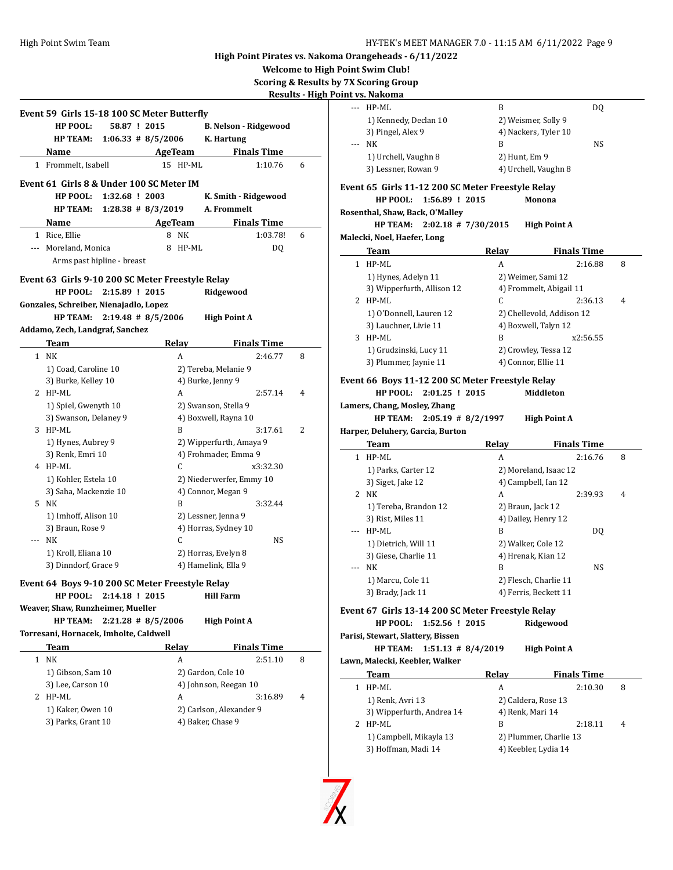--- HP-ML B DQ

**High Point Pirates vs. Nakoma Orangeheads - 6/11/2022**

**Welcome to High Point Swim Club!**

**Scoring & Results by 7X Scoring Group**

**Results - High Point vs. Nakoma**

L.

|   | <b>HP POOL:</b>                                  | 58.87 ! 2015                |   |                | <b>B. Nelson - Ridgewood</b> |                    |   |
|---|--------------------------------------------------|-----------------------------|---|----------------|------------------------------|--------------------|---|
|   | <b>HP TEAM:</b>                                  | $1:06.33 \# 8/5/2006$       |   |                | K. Hartung                   |                    |   |
|   | Name                                             |                             |   | <b>AgeTeam</b> |                              | <b>Finals Time</b> |   |
|   | 1 Frommelt, Isabell                              |                             |   | 15 HP-ML       |                              | 1:10.76            | 6 |
|   | Event 61 Girls 8 & Under 100 SC Meter IM         |                             |   |                |                              |                    |   |
|   |                                                  | HP POOL: 1:32.68 ! 2003     |   |                | K. Smith - Ridgewood         |                    |   |
|   | HP TEAM:                                         | $1:28.38$ # 8/3/2019        |   |                | A. Frommelt                  |                    |   |
|   | Name                                             |                             |   | AgeTeam        |                              | <b>Finals Time</b> |   |
|   | 1 Rice, Ellie                                    |                             |   | 8 NK           |                              | 1:03.78!           | 6 |
|   | --- Moreland, Monica                             |                             | 8 | HP-ML          |                              | DQ                 |   |
|   |                                                  | Arms past hipline - breast  |   |                |                              |                    |   |
|   | Event 63 Girls 9-10 200 SC Meter Freestyle Relay |                             |   |                |                              |                    |   |
|   |                                                  | HP POOL: 2:15.89 ! 2015     |   |                | Ridgewood                    |                    |   |
|   | Gonzales, Schreiber, Nienajadlo, Lopez           |                             |   |                |                              |                    |   |
|   |                                                  | HP TEAM: 2:19.48 # 8/5/2006 |   |                | <b>High Point A</b>          |                    |   |
|   | Addamo, Zech, Landgraf, Sanchez                  |                             |   |                |                              |                    |   |
|   | Team                                             |                             |   | <b>Relay</b>   |                              | <b>Finals Time</b> |   |
|   | 1 NK                                             |                             |   | A              |                              | 2:46.77            | 8 |
|   | 1) Coad, Caroline 10                             |                             |   |                | 2) Tereba, Melanie 9         |                    |   |
|   | 3) Burke, Kelley 10                              |                             |   |                | 4) Burke, Jenny 9            |                    |   |
|   | 2 HP-ML                                          |                             |   | A              |                              | 2:57.14            | 4 |
|   | 1) Spiel, Gwenyth 10                             |                             |   |                | 2) Swanson, Stella 9         |                    |   |
|   | 3) Swanson, Delaney 9                            |                             |   |                | 4) Boxwell, Rayna 10         |                    |   |
|   | 3 HP-ML                                          |                             |   | B              |                              | 3:17.61            | 2 |
|   | 1) Hynes, Aubrey 9                               |                             |   |                | 2) Wipperfurth, Amaya 9      |                    |   |
|   | 3) Renk, Emri 10                                 |                             |   |                | 4) Frohmader, Emma 9         |                    |   |
|   | 4 HP-ML                                          |                             |   | C              |                              | x3:32.30           |   |
|   | 1) Kohler, Estela 10                             |                             |   |                | 2) Niederwerfer, Emmy 10     |                    |   |
|   | 3) Saha, Mackenzie 10                            |                             |   |                | 4) Connor, Megan 9           |                    |   |
|   | 5 NK                                             |                             |   | B              |                              | 3:32.44            |   |
|   | 1) Imhoff, Alison 10                             |                             |   |                | 2) Lessner, Jenna 9          |                    |   |
|   | 3) Braun, Rose 9                                 |                             |   |                | 4) Horras, Sydney 10         |                    |   |
|   | --- NK                                           |                             |   | C              |                              | NS                 |   |
|   |                                                  |                             |   |                | 2) Horras, Evelyn 8          |                    |   |
|   | 1) Kroll, Eliana 10                              |                             |   |                | 4) Hamelink, Ella 9          |                    |   |
|   | 3) Dinndorf, Grace 9                             |                             |   |                |                              |                    |   |
|   | Event 64 Boys 9-10 200 SC Meter Freestyle Relay  |                             |   |                |                              |                    |   |
|   | HP POOL:                                         | 2:14.18 ! 2015              |   |                | Hill Farm                    |                    |   |
|   | Weaver, Shaw, Runzheimer, Mueller                |                             |   |                |                              |                    |   |
|   | <b>HP TEAM:</b>                                  | $2:21.28$ # 8/5/2006        |   |                | <b>High Point A</b>          |                    |   |
|   | Torresani, Hornacek, Imholte, Caldwell           |                             |   |                |                              |                    |   |
|   | Team                                             |                             |   | Relay          |                              | <b>Finals Time</b> |   |
| 1 | NK                                               |                             |   | A              |                              | 2:51.10            | 8 |
|   | 1) Gibson, Sam 10                                |                             |   |                | 2) Gardon, Cole 10           |                    |   |
|   | 3) Lee, Carson 10                                |                             |   |                | 4) Johnson, Reegan 10        |                    |   |
|   | 2 HP-ML                                          |                             |   | A              |                              | 3:16.89            |   |
|   | 1) Kaker, Owen 10                                |                             |   |                | 2) Carlson, Alexander 9      |                    | 4 |

|       | 1) Kennedy, Declan 10                                                             | 2) Weismer, Solly 9      |                               |   |
|-------|-----------------------------------------------------------------------------------|--------------------------|-------------------------------|---|
|       | 3) Pingel, Alex 9                                                                 | 4) Nackers, Tyler 10     |                               |   |
|       | NK                                                                                | B                        | NS                            |   |
|       | 1) Urchell, Vaughn 8                                                              | 2) Hunt, Em 9            |                               |   |
|       | 3) Lessner, Rowan 9                                                               | 4) Urchell, Vaughn 8     |                               |   |
|       | Event 65  Girls 11-12 200 SC Meter Freestyle Relay                                |                          |                               |   |
|       | HP POOL:<br>1:56.89 ! 2015                                                        |                          | Monona                        |   |
|       | Rosenthal, Shaw, Back, O'Malley                                                   |                          |                               |   |
|       | $2:02.18$ # 7/30/2015<br><b>HP TEAM:</b>                                          |                          | <b>High Point A</b>           |   |
|       | Malecki, Noel, Haefer, Long                                                       |                          |                               |   |
|       | Team                                                                              | Relay                    | <b>Finals Time</b>            |   |
|       | 1 HP-ML                                                                           | A                        | 2:16.88                       | 8 |
|       | 1) Hynes, Adelyn 11                                                               | 2) Weimer, Sami 12       |                               |   |
|       | 3) Wipperfurth, Allison 12                                                        |                          | 4) Frommelt, Abigail 11       |   |
|       | 2 HP-ML                                                                           | С                        | 2:36.13                       | 4 |
|       | 1) O'Donnell, Lauren 12                                                           |                          | 2) Chellevold, Addison 12     |   |
|       | 3) Lauchner, Livie 11                                                             | 4) Boxwell, Talyn 12     |                               |   |
|       | 3 HP-ML                                                                           | B                        | x2:56.55                      |   |
|       | 1) Grudzinski, Lucy 11                                                            | 2) Crowley, Tessa 12     |                               |   |
|       | 3) Plummer, Jaynie 11                                                             | 4) Connor, Ellie 11      |                               |   |
|       |                                                                                   |                          |                               |   |
|       | Event 66  Boys 11-12 200 SC Meter Freestyle Relay<br>HP POOL:<br>$2:01.25$ ! 2015 |                          | Middleton                     |   |
|       |                                                                                   |                          |                               |   |
|       |                                                                                   |                          |                               |   |
|       | Lamers, Chang, Mosley, Zhang                                                      |                          |                               |   |
|       | <b>HP TEAM:</b><br>$2:05.19$ # 8/2/1997                                           |                          | <b>High Point A</b>           |   |
|       | Harper, Deluhery, Garcia, Burton                                                  |                          |                               |   |
|       | Team                                                                              | <b>Relay</b>             | <b>Finals Time</b><br>2:16.76 |   |
|       | 1 HP-ML                                                                           | A                        |                               | 8 |
|       | 1) Parks, Carter 12                                                               | 2) Moreland, Isaac 12    |                               |   |
|       | 3) Siget, Jake 12<br>2 NK                                                         | 4) Campbell, Ian 12<br>A | 2:39.93                       | 4 |
|       | 1) Tereba, Brandon 12                                                             | 2) Braun, Jack 12        |                               |   |
|       | 3) Rist, Miles 11                                                                 | 4) Dailey, Henry 12      |                               |   |
| $---$ | HP-ML                                                                             | B                        | DQ                            |   |
|       | 1) Dietrich, Will 11                                                              | 2) Walker, Cole 12       |                               |   |
|       | 3) Giese, Charlie 11                                                              | 4) Hrenak, Kian 12       |                               |   |
| ---   | NK                                                                                | B                        | NS                            |   |
|       | 1) Marcu, Cole 11                                                                 | 2) Flesch, Charlie 11    |                               |   |
|       | 3) Brady, Jack 11                                                                 | 4) Ferris, Beckett 11    |                               |   |
|       |                                                                                   |                          |                               |   |
|       | Event 67  Girls 13-14 200 SC Meter Freestyle Relay<br>HP POOL:<br>1:52.56 ! 2015  |                          | Ridgewood                     |   |
|       | Parisi, Stewart, Slattery, Bissen                                                 |                          |                               |   |
|       | <b>HP TEAM:</b><br>$1:51.13$ # 8/4/2019                                           |                          | <b>High Point A</b>           |   |
|       | Lawn, Malecki, Keebler, Walker                                                    |                          |                               |   |
|       | Team                                                                              | Relay                    | <b>Finals Time</b>            |   |
|       | 1 HP-ML                                                                           | A                        | 2:10.30                       | 8 |
|       | 1) Renk, Avri 13                                                                  | 2) Caldera, Rose 13      |                               |   |
|       | 3) Wipperfurth, Andrea 14                                                         | 4) Renk, Mari 14         |                               |   |
|       | 2 HP-ML                                                                           | B                        | 2:18.11                       | 4 |

3) Hoffman, Madi 14 4) Keebler, Lydia 14



 $\overline{a}$